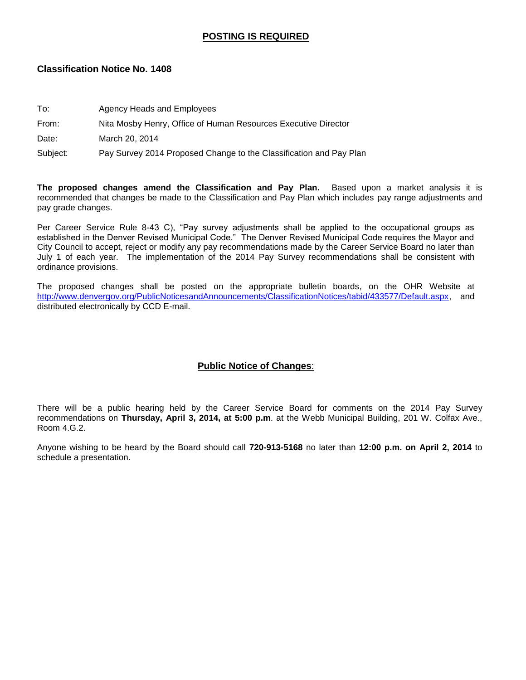## **POSTING IS REQUIRED**

### **Classification Notice No. 1408**

| To: | Agency Heads and Employees |  |
|-----|----------------------------|--|
|     |                            |  |

### From: Nita Mosby Henry, Office of Human Resources Executive Director

Date: March 20, 2014

Subject: Pay Survey 2014 Proposed Change to the Classification and Pay Plan

**The proposed changes amend the Classification and Pay Plan.** Based upon a market analysis it is recommended that changes be made to the Classification and Pay Plan which includes pay range adjustments and pay grade changes.

Per Career Service Rule 8-43 C), "Pay survey adjustments shall be applied to the occupational groups as established in the Denver Revised Municipal Code." The Denver Revised Municipal Code requires the Mayor and City Council to accept, reject or modify any pay recommendations made by the Career Service Board no later than July 1 of each year. The implementation of the 2014 Pay Survey recommendations shall be consistent with ordinance provisions.

The proposed changes shall be posted on the appropriate bulletin boards, on the OHR Website at [http://www.denvergov.org/PublicNoticesandAnnouncements/ClassificationNotices/tabid/433577/Default.aspx,](http://www.denvergov.org/PublicNoticesandAnnouncements/ClassificationNotices/tabid/433577/Default.aspx) and distributed electronically by CCD E-mail.

## **Public Notice of Changes**:

There will be a public hearing held by the Career Service Board for comments on the 2014 Pay Survey recommendations on **Thursday, April 3, 2014, at 5:00 p.m**. at the Webb Municipal Building, 201 W. Colfax Ave., Room 4.G.2.

Anyone wishing to be heard by the Board should call **720-913-5168** no later than **12:00 p.m. on April 2, 2014** to schedule a presentation.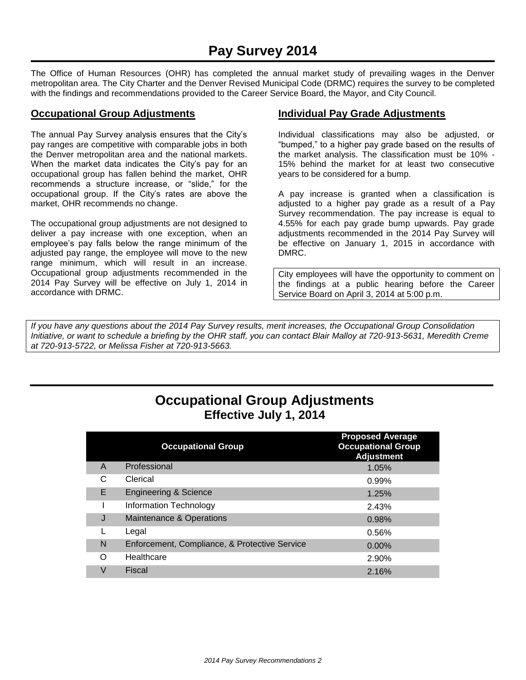The Office of Human Resources (OHR) has completed the annual market study of prevailing wages in the Denver metropolitan area. The City Charter and the Denver Revised Municipal Code (DRMC) requires the survey to be completed with the findings and recommendations provided to the Career Service Board, the Mayor, and City Council.

### **Occupational Group Adjustments**

The annual Pay Survey analysis ensures that the City's pay ranges are competitive with comparable jobs in both the Denver metropolitan area and the national markets. When the market data indicates the City's pay for an occupational group has fallen behind the market, OHR recommends a structure increase, or "slide," for the occupational group. If the City's rates are above the market, OHR recommends no change.

The occupational group adjustments are not designed to deliver a pay increase with one exception, when an employee's pay falls below the range minimum of the adjusted pay range, the employee will move to the new range minimum, which will result in an increase. Occupational group adjustments recommended in the 2014 Pay Survey will be effective on July 1, 2014 in accordance with DRMC.

## **Individual Pay Grade Adjustments**

Individual classifications may also be adjusted, or "bumped," to a higher pay grade based on the results of the market analysis. The classification must be 10% - 15% behind the market for at least two consecutive years to be considered for a bump.

A pay increase is granted when a classification is adjusted to a higher pay grade as a result of a Pay Survey recommendation. The pay increase is equal to 4.55% for each pay grade bump upwards. Pay grade adjustments recommended in the 2014 Pay Survey will be effective on January 1, 2015 in accordance with DMRC.

City employees will have the opportunity to comment on the findings at a public hearing before the Career Service Board on April 3, 2014 at 5:00 p.m.

*If you have any questions about the 2014 Pay Survey results, merit increases, the Occupational Group Consolidation Initiative, or want to schedule a briefing by the OHR staff, you can contact Blair Malloy at 720-913-5631, Meredith Creme at 720-913-5722, or Melissa Fisher at 720-913-5663.*

## **Occupational Group Adjustments Effective July 1, 2014**

|   | <b>Occupational Group</b>                     | <b>Proposed Average</b><br><b>Occupational Group</b><br><b>Adjustment</b> |
|---|-----------------------------------------------|---------------------------------------------------------------------------|
| A | Professional                                  | 1.05%                                                                     |
| C | Clerical                                      | 0.99%                                                                     |
| E | <b>Engineering &amp; Science</b>              | 1.25%                                                                     |
|   | Information Technology                        | 2.43%                                                                     |
| J | Maintenance & Operations                      | 0.98%                                                                     |
|   | Legal                                         | 0.56%                                                                     |
| N | Enforcement, Compliance, & Protective Service | $0.00\%$                                                                  |
| Ω | Healthcare                                    | 2.90%                                                                     |
| V | Fiscal                                        | 2.16%                                                                     |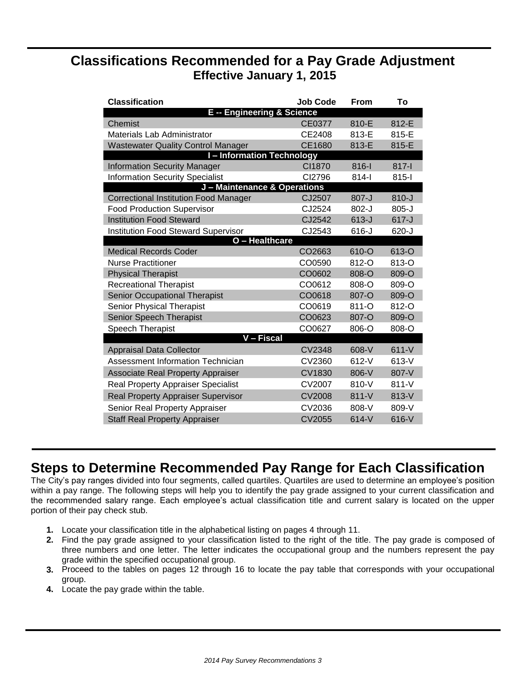## **Classifications Recommended for a Pay Grade Adjustment Effective January 1, 2015**

| <b>Classification</b>                        | <b>Job Code</b>    | From      | Т٥        |
|----------------------------------------------|--------------------|-----------|-----------|
| <b>E</b> -- Engineering & Science            |                    |           |           |
| Chemist                                      | <b>CE0377</b>      | 810-E     | 812-E     |
| Materials Lab Administrator                  | CE2408             | 813-E     | 815-E     |
| <b>Wastewater Quality Control Manager</b>    | CE1680             | 813-E     | 815-E     |
| <b>I-Information Technology</b>              |                    |           |           |
| <b>Information Security Manager</b>          | CI1870             | 816-l     | 817-l     |
| <b>Information Security Specialist</b>       | CI2796             | $814 -$   | $815 -$   |
| J - Maintenance & Operations                 |                    |           |           |
| <b>Correctional Institution Food Manager</b> | CJ2507             | $807 - J$ | $810 - J$ |
| <b>Food Production Supervisor</b>            | CJ2524             | $802 - J$ | $805 - J$ |
| <b>Institution Food Steward</b>              | CJ2542             | $613-J$   | $617 - J$ |
| <b>Institution Food Steward Supervisor</b>   | CJ2543             | $616 - J$ | 620-J     |
| O - Healthcare                               |                    |           |           |
| <b>Medical Records Coder</b>                 | CO <sub>2663</sub> | 610-O     | 613-O     |
| <b>Nurse Practitioner</b>                    | CO0590             | 812-O     | 813-O     |
| <b>Physical Therapist</b>                    | CO0602             | 808-O     | 809-O     |
| <b>Recreational Therapist</b>                | CO0612             | 808-O     | 809-O     |
| <b>Senior Occupational Therapist</b>         | CO0618             | 807-O     | 809-O     |
| Senior Physical Therapist                    | CO0619             | $811 - O$ | 812-O     |
| Senior Speech Therapist                      | CO0623             | 807-O     | 809-O     |
| Speech Therapist                             | CO0627             | 806-O     | 808-O     |
| V – Fiscal                                   |                    |           |           |
| <b>Appraisal Data Collector</b>              | <b>CV2348</b>      | $608-V$   | $611-V$   |
| Assessment Information Technician            | <b>CV2360</b>      | $612-V$   | $613-V$   |
| <b>Associate Real Property Appraiser</b>     | CV1830             | $806-V$   | 807-V     |
| <b>Real Property Appraiser Specialist</b>    | <b>CV2007</b>      | 810-V     | $811-V$   |
| <b>Real Property Appraiser Supervisor</b>    | <b>CV2008</b>      | $811-V$   | $813-V$   |
| Senior Real Property Appraiser               | CV2036             | 808-V     | 809-V     |
| <b>Staff Real Property Appraiser</b>         | <b>CV2055</b>      | $614-V$   | $616-V$   |

# **Steps to Determine Recommended Pay Range for Each Classification**

The City's pay ranges divided into four segments, called quartiles. Quartiles are used to determine an employee's position within a pay range. The following steps will help you to identify the pay grade assigned to your current classification and the recommended salary range. Each employee's actual classification title and current salary is located on the upper portion of their pay check stub.

- **1.** Locate your classification title in the alphabetical listing on pages 4 through 11.
- **2.** Find the pay grade assigned to your classification listed to the right of the title. The pay grade is composed of three numbers and one letter. The letter indicates the occupational group and the numbers represent the pay grade within the specified occupational group.
- **3.** Proceed to the tables on pages 12 through 16 to locate the pay table that corresponds with your occupational group.
- **4.** Locate the pay grade within the table.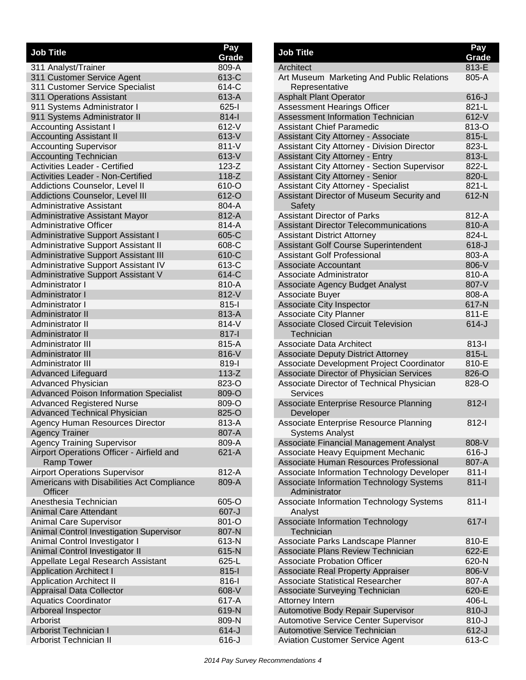| <b>Job Title</b>                              | Pay       |
|-----------------------------------------------|-----------|
|                                               | Grade     |
| 311 Analyst/Trainer                           | 809-A     |
| 311 Customer Service Agent                    | 613-C     |
| 311 Customer Service Specialist               | 614-C     |
| 311 Operations Assistant                      | 613-A     |
| 911 Systems Administrator I                   | $625 - 1$ |
| 911 Systems Administrator II                  | $814 -$   |
| <b>Accounting Assistant I</b>                 | 612-V     |
| <b>Accounting Assistant II</b>                | 613-V     |
| <b>Accounting Supervisor</b>                  | $811-V$   |
| <b>Accounting Technician</b>                  | 613-V     |
| <b>Activities Leader - Certified</b>          | $123-Z$   |
| <b>Activities Leader - Non-Certified</b>      | $118-Z$   |
| Addictions Counselor, Level II                | 610-O     |
| Addictions Counselor, Level III               | 612-O     |
| <b>Administrative Assistant</b>               | 804-A     |
| <b>Administrative Assistant Mayor</b>         | 812-A     |
| <b>Administrative Officer</b>                 | 814-A     |
| <b>Administrative Support Assistant I</b>     | 605-C     |
| Administrative Support Assistant II           | 608-C     |
| <b>Administrative Support Assistant III</b>   | 610-C     |
| Administrative Support Assistant IV           | 613-C     |
| <b>Administrative Support Assistant V</b>     | 614-C     |
| Administrator I                               | 810-A     |
| Administrator I                               | 812-V     |
| Administrator I                               | $815 -$   |
| <b>Administrator II</b>                       | 813-A     |
| Administrator II                              | 814-V     |
| <b>Administrator II</b>                       | 817-l     |
| Administrator III                             | 815-A     |
| <b>Administrator III</b>                      | 816-V     |
| <b>Administrator III</b>                      | 819-l     |
| <b>Advanced Lifeguard</b>                     | $113-Z$   |
| <b>Advanced Physician</b>                     | 823-O     |
| <b>Advanced Poison Information Specialist</b> | 809-O     |
| <b>Advanced Registered Nurse</b>              | 809-O     |
| <b>Advanced Technical Physician</b>           | 825-O     |
| Agency Human Resources Director               | 813-A     |
| <b>Agency Trainer</b>                         | 807-A     |
| <b>Agency Training Supervisor</b>             | 809-A     |
| Airport Operations Officer - Airfield and     | $621 - A$ |
| <b>Ramp Tower</b>                             |           |
| <b>Airport Operations Supervisor</b>          | 812-A     |
| Americans with Disabilities Act Compliance    | 809-A     |
| Officer                                       |           |
| Anesthesia Technician                         | 605-O     |
| <b>Animal Care Attendant</b>                  | 607-J     |
| <b>Animal Care Supervisor</b>                 | 801-O     |
| Animal Control Investigation Supervisor       | 807-N     |
| Animal Control Investigator I                 | 613-N     |
| Animal Control Investigator II                | 615-N     |
| Appellate Legal Research Assistant            | 625-L     |
| <b>Application Architect I</b>                | $815 -$   |
| <b>Application Architect II</b>               | 816-l     |
| Appraisal Data Collector                      | 608-V     |
| <b>Aquatics Coordinator</b>                   | 617-A     |
| Arboreal Inspector                            | 619-N     |
| Arborist                                      | 809-N     |
| <b>Arborist Technician I</b>                  | $614-J$   |
| <b>Arborist Technician II</b>                 | $616 - J$ |

| <b>Job Title</b>                                                 | Pay<br>Grade |
|------------------------------------------------------------------|--------------|
| Architect                                                        | 813-E        |
| Art Museum Marketing And Public Relations<br>Representative      | 805-A        |
| <b>Asphalt Plant Operator</b>                                    | $616 - J$    |
| <b>Assessment Hearings Officer</b>                               | 821-L        |
| <b>Assessment Information Technician</b>                         | $612-V$      |
| Assistant Chief Paramedic                                        | 813-O        |
| Assistant City Attorney - Associate                              | 815-L        |
| Assistant City Attorney - Division Director                      | 823-L        |
| <b>Assistant City Attorney - Entry</b>                           | 813-L        |
| <b>Assistant City Attorney - Section Supervisor</b>              | 822-L        |
| <b>Assistant City Attorney - Senior</b>                          | 820-L        |
| <b>Assistant City Attorney - Specialist</b>                      | 821-L        |
| Assistant Director of Museum Security and<br>Safety              | 612-N        |
| <b>Assistant Director of Parks</b>                               | 812-A        |
| <b>Assistant Director Telecommunications</b>                     | 810-A        |
| <b>Assistant District Attorney</b>                               | 824-L        |
| <b>Assistant Golf Course Superintendent</b>                      | $618 - J$    |
| <b>Assistant Golf Professional</b>                               | 803-A        |
| <b>Associate Accountant</b>                                      | 806-V        |
| Associate Administrator                                          | 810-A        |
| Associate Agency Budget Analyst                                  | 807-V        |
| Associate Buyer                                                  | 808-A        |
| <b>Associate City Inspector</b>                                  | 617-N        |
| <b>Associate City Planner</b>                                    | 811-E        |
| <b>Associate Closed Circuit Television</b><br>Technician         | $614 - J$    |
| <b>Associate Data Architect</b>                                  | $813 -$      |
| <b>Associate Deputy District Attorney</b>                        | 815-L        |
| Associate Development Project Coordinator                        | 810-E        |
| Associate Director of Physician Services                         | 826-O        |
| Associate Director of Technical Physician<br><b>Services</b>     | 828-O        |
| Associate Enterprise Resource Planning<br>Developer              | $812 -$      |
| Associate Enterprise Resource Planning<br><b>Systems Analyst</b> | $812 -$      |
| Associate Financial Management Analyst                           | 808-V        |
| Associate Heavy Equipment Mechanic                               | 616-J        |
| Associate Human Resources Professional                           | 807-A        |
| Associate Information Technology Developer                       | $811-I$      |
| Associate Information Technology Systems<br>Administrator        | $811 -$      |
| Associate Information Technology Systems<br>Analyst              | $811 -$      |
| <b>Associate Information Technology</b><br>Technician            | $617 -$      |
| Associate Parks Landscape Planner                                | 810-E        |
| Associate Plans Review Technician                                | 622-E        |
| <b>Associate Probation Officer</b>                               | 620-N        |
| <b>Associate Real Property Appraiser</b>                         | 806-V        |
| <b>Associate Statistical Researcher</b>                          | 807-A        |
| Associate Surveying Technician                                   | 620-E        |
| Attorney Intern                                                  | 406-L        |
| Automotive Body Repair Supervisor                                | $810 - J$    |
| Automotive Service Center Supervisor                             | $810 - J$    |
| Automotive Service Technician                                    | $612-J$      |
| <b>Aviation Customer Service Agent</b>                           | 613-C        |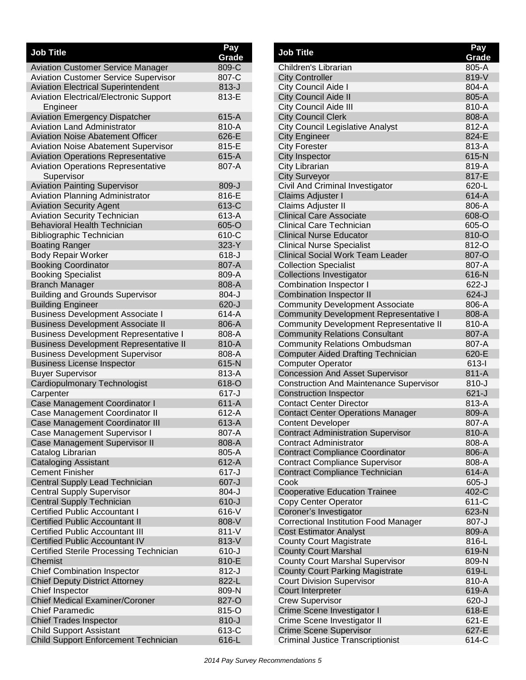| <b>Job Title</b>                                                           | Pay<br>Grade       |
|----------------------------------------------------------------------------|--------------------|
| <b>Aviation Customer Service Manager</b>                                   | 809-C              |
| <b>Aviation Customer Service Supervisor</b>                                | 807-C              |
| <b>Aviation Electrical Superintendent</b>                                  | $813-J$            |
| <b>Aviation Electrical/Electronic Support</b>                              | 813-E              |
| Engineer                                                                   |                    |
| <b>Aviation Emergency Dispatcher</b>                                       | 615-A              |
| <b>Aviation Land Administrator</b>                                         | 810-A              |
| <b>Aviation Noise Abatement Officer</b>                                    | 626-E              |
| <b>Aviation Noise Abatement Supervisor</b>                                 | 815-E              |
| <b>Aviation Operations Representative</b>                                  | 615-A              |
| <b>Aviation Operations Representative</b>                                  | 807-A              |
| Supervisor                                                                 |                    |
| <b>Aviation Painting Supervisor</b>                                        | 809-J              |
| <b>Aviation Planning Administrator</b>                                     | 816-E<br>613-C     |
| <b>Aviation Security Agent</b>                                             | 613-A              |
| <b>Aviation Security Technician</b><br><b>Behavioral Health Technician</b> | 605-O              |
| <b>Bibliographic Technician</b>                                            | 610-C              |
| <b>Boating Ranger</b>                                                      | 323-Y              |
| <b>Body Repair Worker</b>                                                  | $618 - J$          |
| <b>Booking Coordinator</b>                                                 | 807-A              |
| <b>Booking Specialist</b>                                                  | 809-A              |
| <b>Branch Manager</b>                                                      | 808-A              |
| <b>Building and Grounds Supervisor</b>                                     | $804-J$            |
| <b>Building Engineer</b>                                                   | $620 - J$          |
| <b>Business Development Associate I</b>                                    | 614-A              |
| <b>Business Development Associate II</b>                                   | 806-A              |
| <b>Business Development Representative I</b>                               | 808-A              |
| <b>Business Development Representative II</b>                              | 810-A              |
| <b>Business Development Supervisor</b>                                     | 808-A              |
| <b>Business License Inspector</b>                                          | 615-N              |
| <b>Buyer Supervisor</b>                                                    | 813-A              |
| Cardiopulmonary Technologist                                               | 618-O              |
| Carpenter                                                                  | $617 - J$          |
| Case Management Coordinator I                                              | $611-A$            |
| Case Management Coordinator II                                             | 612-A              |
| Case Management Coordinator III                                            | 613-A              |
| Case Management Supervisor I                                               | 807-A              |
| Case Management Supervisor II                                              | 808-A              |
| Catalog Librarian                                                          | 805-A              |
| <b>Cataloging Assistant</b><br><b>Cement Finisher</b>                      | 612-A<br>$617 - J$ |
| Central Supply Lead Technician                                             | 607-J              |
| <b>Central Supply Supervisor</b>                                           | $804-J$            |
| Central Supply Technician                                                  | $610-J$            |
| <b>Certified Public Accountant I</b>                                       | 616-V              |
| <b>Certified Public Accountant II</b>                                      | 808-V              |
| <b>Certified Public Accountant III</b>                                     | $811 - V$          |
| <b>Certified Public Accountant IV</b>                                      | 813-V              |
| Certified Sterile Processing Technician                                    | $610 - J$          |
| Chemist                                                                    | 810-E              |
| <b>Chief Combination Inspector</b>                                         | $812-J$            |
| <b>Chief Deputy District Attorney</b>                                      | 822-L              |
| Chief Inspector                                                            | 809-N              |
| <b>Chief Medical Examiner/Coroner</b>                                      | 827-O              |
| <b>Chief Paramedic</b>                                                     | 815-O              |
| <b>Chief Trades Inspector</b>                                              | $810 - J$          |
| <b>Child Support Assistant</b>                                             | 613-C              |
| Child Support Enforcement Technician                                       | 616-L              |

| <b>Job Title</b>                                                                        | Pay                |
|-----------------------------------------------------------------------------------------|--------------------|
| Children's Librarian                                                                    | Grade<br>805-A     |
| <b>City Controller</b>                                                                  | 819-V              |
| City Council Aide I                                                                     | 804-A              |
| <b>City Council Aide II</b>                                                             | 805-A              |
| City Council Aide III                                                                   | 810-A              |
| <b>City Council Clerk</b>                                                               | 808-A              |
| <b>City Council Legislative Analyst</b>                                                 | 812-A              |
| <b>City Engineer</b>                                                                    | 824-E              |
| <b>City Forester</b>                                                                    | 813-A              |
| <b>City Inspector</b>                                                                   | 615-N              |
| City Librarian                                                                          | 819-A              |
| <b>City Surveyor</b>                                                                    | 817-E              |
| Civil And Criminal Investigator                                                         | 620-L              |
| Claims Adjuster I                                                                       | 614-A              |
| Claims Adjuster II                                                                      | 806-A              |
| <b>Clinical Care Associate</b>                                                          | 608-O              |
| Clinical Care Technician                                                                | 605-O              |
| <b>Clinical Nurse Educator</b>                                                          | 810-O              |
| <b>Clinical Nurse Specialist</b>                                                        | 812-O              |
| <b>Clinical Social Work Team Leader</b>                                                 | 807-O              |
| <b>Collection Specialist</b>                                                            | 807-A              |
| <b>Collections Investigator</b>                                                         | 616-N              |
| <b>Combination Inspector I</b>                                                          | $622 - J$          |
| <b>Combination Inspector II</b>                                                         | $624-J$<br>806-A   |
| <b>Community Development Associate</b><br><b>Community Development Representative I</b> | 808-A              |
| <b>Community Development Representative II</b>                                          | 810-A              |
| <b>Community Relations Consultant</b>                                                   | 807-A              |
| <b>Community Relations Ombudsman</b>                                                    | 807-A              |
| <b>Computer Aided Drafting Technician</b>                                               | 620-E              |
| <b>Computer Operator</b>                                                                | $613 - 1$          |
| <b>Concession And Asset Supervisor</b>                                                  | 811-A              |
| <b>Construction And Maintenance Supervisor</b>                                          | $810 - J$          |
| <b>Construction Inspector</b>                                                           | $621-J$            |
| <b>Contact Center Director</b>                                                          | 813-A              |
| <b>Contact Center Operations Manager</b>                                                | 809-A              |
| <b>Content Developer</b>                                                                | 807-A              |
| <b>Contract Administration Supervisor</b>                                               | 810-A              |
| <b>Contract Administrator</b>                                                           | 808-A              |
| <b>Contract Compliance Coordinator</b>                                                  | 806-A              |
| <b>Contract Compliance Supervisor</b>                                                   | 808-A              |
| Contract Compliance Technician                                                          | 614-A              |
| Cook                                                                                    | $605 - J$<br>402-C |
| <b>Cooperative Education Trainee</b>                                                    | 611-C              |
| Copy Center Operator<br>Coroner's Investigator                                          | 623-N              |
| <b>Correctional Institution Food Manager</b>                                            | 807-J              |
| <b>Cost Estimator Analyst</b>                                                           | 809-A              |
| <b>County Court Magistrate</b>                                                          | 816-L              |
| <b>County Court Marshal</b>                                                             | 619-N              |
| <b>County Court Marshal Supervisor</b>                                                  | 809-N              |
| <b>County Court Parking Magistrate</b>                                                  | 619-L              |
| <b>Court Division Supervisor</b>                                                        | 810-A              |
| Court Interpreter                                                                       | 619-A              |
| <b>Crew Supervisor</b>                                                                  | $620 - J$          |
| Crime Scene Investigator I                                                              | 618-E              |
| Crime Scene Investigator II                                                             | 621-E              |
| <b>Crime Scene Supervisor</b>                                                           | 627-E              |
| <b>Criminal Justice Transcriptionist</b>                                                | 614-C              |
|                                                                                         |                    |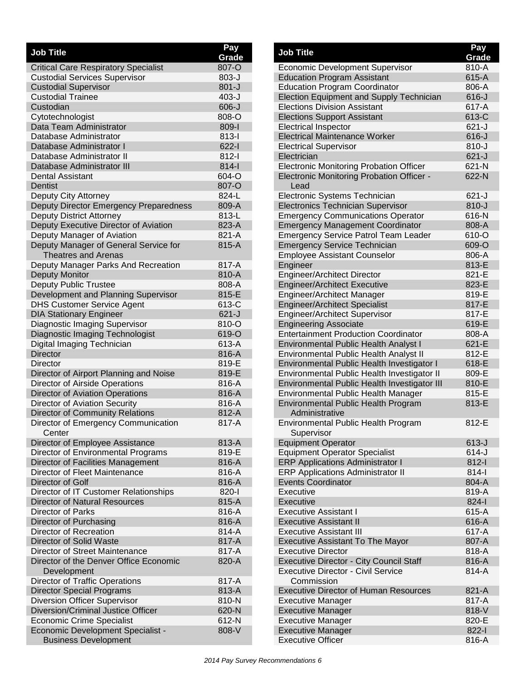| <b>Job Title</b>                                                         | Pay            |
|--------------------------------------------------------------------------|----------------|
| <b>Critical Care Respiratory Specialist</b>                              | Grade<br>807-O |
| <b>Custodial Services Supervisor</b>                                     | 803-J          |
| <b>Custodial Supervisor</b>                                              | $801 - J$      |
| <b>Custodial Trainee</b>                                                 | $403 - J$      |
| Custodian                                                                | $606-J$        |
| Cytotechnologist                                                         | 808-O          |
| Data Team Administrator                                                  | 809-l          |
| Database Administrator                                                   | $813 -$        |
| Database Administrator I                                                 | $622 - 1$      |
| Database Administrator II                                                | $812 - 1$      |
| Database Administrator III                                               | $814 -$        |
| <b>Dental Assistant</b>                                                  | 604-O          |
| Dentist                                                                  | 807-O          |
| Deputy City Attorney                                                     | 824-L          |
| Deputy Director Emergency Preparedness                                   | 809-A          |
| <b>Deputy District Attorney</b>                                          | 813-L          |
| Deputy Executive Director of Aviation                                    | 823-A          |
| Deputy Manager of Aviation                                               | 821-A          |
| Deputy Manager of General Service for                                    | 815-A          |
| <b>Theatres and Arenas</b>                                               |                |
| Deputy Manager Parks And Recreation                                      | 817-A          |
| <b>Deputy Monitor</b>                                                    | 810-A          |
| <b>Deputy Public Trustee</b>                                             | 808-A          |
| Development and Planning Supervisor                                      | 815-E          |
| <b>DHS Customer Service Agent</b>                                        | 613-C          |
| <b>DIA Stationary Engineer</b>                                           | $621-J$        |
| Diagnostic Imaging Supervisor                                            | 810-O          |
| Diagnostic Imaging Technologist                                          | 619-O          |
| Digital Imaging Technician                                               | 613-A          |
| <b>Director</b>                                                          | 816-A          |
| <b>Director</b>                                                          | 819-E<br>819-E |
| Director of Airport Planning and Noise<br>Director of Airside Operations | 816-A          |
| <b>Director of Aviation Operations</b>                                   | 816-A          |
| <b>Director of Aviation Security</b>                                     | 816-A          |
| Director of Community Relations                                          | 812-A          |
| Director of Emergency Communication                                      | 817-A          |
| Center                                                                   |                |
| Director of Employee Assistance                                          | 813-A          |
| Director of Environmental Programs                                       | 819-E          |
| Director of Facilities Management                                        | 816-A          |
| Director of Fleet Maintenance                                            | 816-A          |
| Director of Golf                                                         | 816-A          |
| Director of IT Customer Relationships                                    | 820-l          |
| <b>Director of Natural Resources</b>                                     | 815-A          |
| <b>Director of Parks</b>                                                 | 816-A          |
| Director of Purchasing                                                   | 816-A          |
| Director of Recreation                                                   | 814-A          |
| Director of Solid Waste                                                  | 817-A          |
| Director of Street Maintenance                                           | 817-A          |
| Director of the Denver Office Economic                                   | 820-A          |
| Development                                                              |                |
| <b>Director of Traffic Operations</b>                                    | 817-A          |
| <b>Director Special Programs</b>                                         | 813-A          |
| <b>Diversion Officer Supervisor</b>                                      | 810-N          |
| Diversion/Criminal Justice Officer                                       | 620-N          |
| <b>Economic Crime Specialist</b>                                         | 612-N          |
| <b>Economic Development Specialist -</b>                                 | 808-V          |
| <b>Business Development</b>                                              |                |

| <b>Job Title</b>                                                                     | Pay<br>Grade   |
|--------------------------------------------------------------------------------------|----------------|
| <b>Economic Development Supervisor</b>                                               | 810-A          |
| <b>Education Program Assistant</b>                                                   | 615-A          |
| <b>Education Program Coordinator</b>                                                 | 806-A          |
| <b>Election Equipment and Supply Technician</b>                                      | $616 - J$      |
| <b>Elections Division Assistant</b>                                                  | 617-A          |
| <b>Elections Support Assistant</b>                                                   | 613-C          |
| <b>Electrical Inspector</b>                                                          | $621 - J$      |
| <b>Electrical Maintenance Worker</b>                                                 | $616 - J$      |
| <b>Electrical Supervisor</b>                                                         | $810 - J$      |
| Electrician                                                                          | $621 - J$      |
| <b>Electronic Monitoring Probation Officer</b>                                       | 621-N          |
| Electronic Monitoring Probation Officer -                                            | 622-N          |
| Lead                                                                                 |                |
| Electronic Systems Technician                                                        | $621 - J$      |
| <b>Electronics Technician Supervisor</b>                                             | $810 - J$      |
| <b>Emergency Communications Operator</b>                                             | 616-N          |
| <b>Emergency Management Coordinator</b>                                              | 808-A          |
| <b>Emergency Service Patrol Team Leader</b>                                          | 610-O          |
| <b>Emergency Service Technician</b>                                                  | 609-O          |
| <b>Employee Assistant Counselor</b>                                                  | 806-A          |
| Engineer                                                                             | 813-E          |
| <b>Engineer/Architect Director</b>                                                   | 821-E          |
| <b>Engineer/Architect Executive</b>                                                  | 823-E          |
| Engineer/Architect Manager                                                           | 819-E          |
| <b>Engineer/Architect Specialist</b>                                                 | 817-E          |
| <b>Engineer/Architect Supervisor</b>                                                 | 817-E          |
| <b>Engineering Associate</b>                                                         | 619-E          |
| <b>Entertainment Production Coordinator</b>                                          | 808-A<br>621-E |
| <b>Environmental Public Health Analyst I</b>                                         | 812-E          |
| Environmental Public Health Analyst II<br>Environmental Public Health Investigator I | 618-E          |
| Environmental Public Health Investigator II                                          | 809-E          |
| Environmental Public Health Investigator III                                         | 810-E          |
| <b>Environmental Public Health Manager</b>                                           | 815-E          |
| <b>Environmental Public Health Program</b>                                           | 813-E          |
| Administrative                                                                       |                |
| <b>Environmental Public Health Program</b>                                           | 812-E          |
| Supervisor                                                                           |                |
| <b>Equipment Operator</b>                                                            | $613 - J$      |
| <b>Equipment Operator Specialist</b>                                                 | $614 - J$      |
| <b>ERP Applications Administrator I</b>                                              | $812-I$        |
| <b>ERP Applications Administrator II</b>                                             | $814 -$        |
| <b>Events Coordinator</b>                                                            | 804-A          |
| Executive                                                                            | 819-A          |
| Executive                                                                            | $824 - 1$      |
| <b>Executive Assistant I</b>                                                         | 615-A          |
| <b>Executive Assistant II</b>                                                        | 616-A          |
| <b>Executive Assistant III</b>                                                       | 617-A          |
| <b>Executive Assistant To The Mayor</b>                                              | 807-A          |
| <b>Executive Director</b>                                                            | 818-A          |
| <b>Executive Director - City Council Staff</b>                                       | 816-A          |
| <b>Executive Director - Civil Service</b>                                            | 814-A          |
| Commission                                                                           |                |
| <b>Executive Director of Human Resources</b>                                         | 821-A          |
| <b>Executive Manager</b>                                                             | 817-A          |
| <b>Executive Manager</b>                                                             | 818-V          |
| <b>Executive Manager</b>                                                             | 820-E          |
| <b>Executive Manager</b>                                                             | 822-l          |
| <b>Executive Officer</b>                                                             | 816-A          |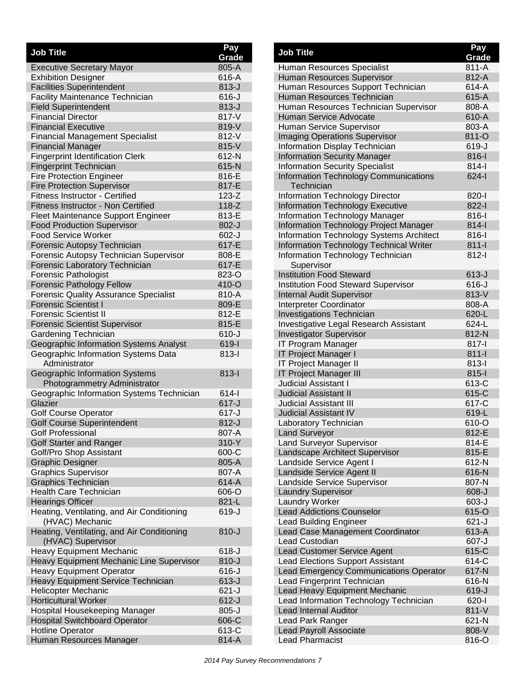| <b>Job Title</b>                                                              | Pay                |
|-------------------------------------------------------------------------------|--------------------|
|                                                                               | Grade<br>805-A     |
| <b>Executive Secretary Mayor</b><br><b>Exhibition Designer</b>                | 616-A              |
| <b>Facilities Superintendent</b>                                              | $813-J$            |
| <b>Facility Maintenance Technician</b>                                        | $616 - J$          |
| <b>Field Superintendent</b>                                                   | $813-J$            |
| <b>Financial Director</b>                                                     | 817-V              |
| <b>Financial Executive</b>                                                    | 819-V              |
| <b>Financial Management Specialist</b>                                        | 812-V              |
| <b>Financial Manager</b>                                                      | 815-V              |
| <b>Fingerprint Identification Clerk</b>                                       | 612-N              |
| <b>Fingerprint Technician</b>                                                 | 615-N              |
| <b>Fire Protection Engineer</b>                                               | 816-E              |
| <b>Fire Protection Supervisor</b>                                             | 817-E              |
| <b>Fitness Instructor - Certified</b>                                         | $123-Z$            |
| Fitness Instructor - Non Certified                                            | $118-Z$            |
| Fleet Maintenance Support Engineer                                            | 813-E              |
| <b>Food Production Supervisor</b>                                             | $802 - J$          |
| <b>Food Service Worker</b>                                                    | $602-J$            |
| Forensic Autopsy Technician                                                   | 617-E              |
| Forensic Autopsy Technician Supervisor                                        | 808-E              |
| <b>Forensic Laboratory Technician</b>                                         | 617-E              |
| <b>Forensic Pathologist</b>                                                   | 823-O              |
| <b>Forensic Pathology Fellow</b>                                              | 410-O              |
| <b>Forensic Quality Assurance Specialist</b>                                  | 810-A              |
| <b>Forensic Scientist I</b>                                                   | 809-E              |
| <b>Forensic Scientist II</b>                                                  | 812-E              |
| <b>Forensic Scientist Supervisor</b>                                          | 815-E              |
| Gardening Technician                                                          | $610 - J$<br>619-l |
| Geographic Information Systems Analyst<br>Geographic Information Systems Data | $813-I$            |
| Administrator                                                                 |                    |
| Geographic Information Systems                                                | 813-l              |
| Photogrammetry Administrator                                                  |                    |
| Geographic Information Systems Technician                                     | $614 -$            |
| Glazier                                                                       | $617 - J$          |
| <b>Golf Course Operator</b>                                                   | $617 - J$          |
| <b>Golf Course Superintendent</b>                                             | $812 - J$          |
| <b>Golf Professional</b>                                                      | 807-A              |
| <b>Golf Starter and Ranger</b>                                                | 310-Y              |
| Golf/Pro Shop Assistant                                                       | 600-C              |
| <b>Graphic Designer</b>                                                       | 805-A              |
| <b>Graphics Supervisor</b>                                                    | 807-A              |
| <b>Graphics Technician</b>                                                    | 614-A              |
| <b>Health Care Technician</b>                                                 | 606-O              |
| <b>Hearings Officer</b>                                                       | 821-L              |
| Heating, Ventilating, and Air Conditioning<br>(HVAC) Mechanic                 | 619-J              |
| Heating, Ventilating, and Air Conditioning<br>(HVAC) Supervisor               | $810 - J$          |
| <b>Heavy Equipment Mechanic</b>                                               | 618-J              |
| Heavy Equipment Mechanic Line Supervisor                                      | $810 - J$          |
| <b>Heavy Equipment Operator</b>                                               | $616-J$            |
| <b>Heavy Equipment Service Technician</b>                                     | $613-J$            |
| Helicopter Mechanic                                                           | $621 - J$          |
| <b>Horticultural Worker</b>                                                   | $612-J$            |
| Hospital Housekeeping Manager                                                 | $805 - J$          |
| <b>Hospital Switchboard Operator</b>                                          | 606-C              |
| <b>Hotline Operator</b>                                                       | 613-C              |
| Human Resources Manager                                                       | 814-A              |

| <b>Job Title</b>                                             | Pay<br>Grade     |
|--------------------------------------------------------------|------------------|
| Human Resources Specialist                                   | $811 - A$        |
| Human Resources Supervisor                                   | 812-A            |
| Human Resources Support Technician                           | 614-A            |
| Human Resources Technician                                   | 615-A            |
| Human Resources Technician Supervisor                        | 808-A            |
| <b>Human Service Advocate</b>                                | 610-A            |
| Human Service Supervisor                                     | 803-A            |
| <b>Imaging Operations Supervisor</b>                         | 811-O            |
| <b>Information Display Technician</b>                        | 619-J            |
| <b>Information Security Manager</b>                          | $816 -$          |
| <b>Information Security Specialist</b>                       | $814 -$          |
| <b>Information Technology Communications</b><br>Technician   | $624 - 1$        |
| <b>Information Technology Director</b>                       | 820-l            |
| <b>Information Technology Executive</b>                      | 822-l            |
| <b>Information Technology Manager</b>                        | $816-I$          |
| <b>Information Technology Project Manager</b>                | $814 -$          |
| Information Technology Systems Architect                     | $816-I$          |
| Information Technology Technical Writer                      | $811 -$          |
| Information Technology Technician<br>Supervisor              | $812 -$          |
| <b>Institution Food Steward</b>                              | $613-J$          |
| <b>Institution Food Steward Supervisor</b>                   | $616 - J$        |
| <b>Internal Audit Supervisor</b>                             | 813-V            |
| Interpreter Coordinator                                      | 808-A            |
| <b>Investigations Technician</b>                             | 620-L            |
| Investigative Legal Research Assistant                       | 624-L            |
| <b>Investigator Supervisor</b>                               | 812-N            |
| <b>IT Program Manager</b>                                    | $817 -$          |
| IT Project Manager I                                         | $811 -$          |
| IT Project Manager II                                        | $813 -$          |
| <b>IT Project Manager III</b><br><b>Judicial Assistant I</b> | $815 -$<br>613-C |
| <b>Judicial Assistant II</b>                                 | 615-C            |
| <b>Judicial Assistant III</b>                                | 617-C            |
| <b>Judicial Assistant IV</b>                                 | 619-L            |
| Laboratory Technician                                        | 610-O            |
| <b>Land Surveyor</b>                                         | 812-E            |
| <b>Land Surveyor Supervisor</b>                              | 814-E            |
| Landscape Architect Supervisor                               | 815-E            |
| Landside Service Agent I                                     | 612-N            |
| Landside Service Agent II                                    | 616-N            |
| Landside Service Supervisor                                  | 807-N            |
| <b>Laundry Supervisor</b>                                    | $608-J$          |
| <b>Laundry Worker</b>                                        | $603-J$          |
| <b>Lead Addictions Counselor</b>                             | 615-O            |
| <b>Lead Building Engineer</b>                                | $621 - J$        |
| Lead Case Management Coordinator                             | 613-A            |
| <b>Lead Custodian</b>                                        | $607 - J$        |
| <b>Lead Customer Service Agent</b>                           | 615-C            |
| <b>Lead Elections Support Assistant</b>                      | 614-C            |
| <b>Lead Emergency Communications Operator</b>                | 617-N            |
| Lead Fingerprint Technician                                  | 616-N            |
| Lead Heavy Equipment Mechanic                                | 619-J            |
| Lead Information Technology Technician                       | $620 - 1$        |
| <b>Lead Internal Auditor</b>                                 | 811-V            |
| Lead Park Ranger                                             | 621-N            |
| <b>Lead Payroll Associate</b>                                | 808-V            |
| <b>Lead Pharmacist</b>                                       | 816-O            |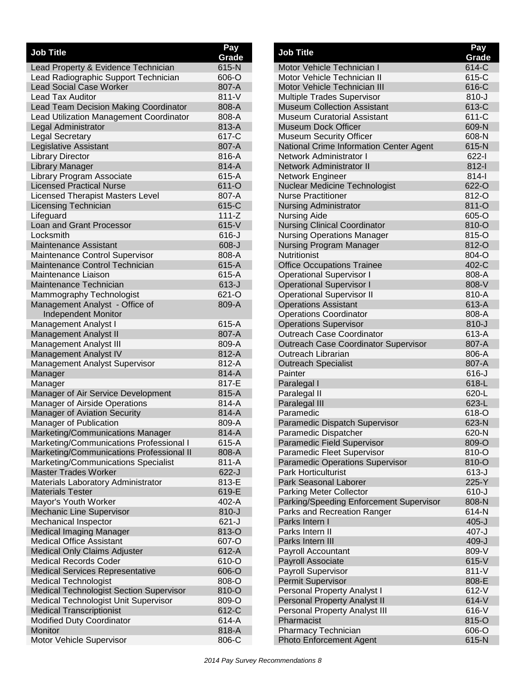| <b>Job Title</b>                                       | Pay            |
|--------------------------------------------------------|----------------|
|                                                        | Grade          |
| Lead Property & Evidence Technician                    | 615-N          |
| Lead Radiographic Support Technician                   | 606-O          |
| <b>Lead Social Case Worker</b>                         | 807-A          |
| <b>Lead Tax Auditor</b>                                | 811-V          |
| Lead Team Decision Making Coordinator                  | 808-A          |
| Lead Utilization Management Coordinator                | 808-A<br>813-A |
| Legal Administrator                                    | 617-C          |
| <b>Legal Secretary</b><br><b>Legislative Assistant</b> | 807-A          |
| <b>Library Director</b>                                | 816-A          |
| <b>Library Manager</b>                                 | 814-A          |
| Library Program Associate                              | 615-A          |
| <b>Licensed Practical Nurse</b>                        | 611-O          |
| <b>Licensed Therapist Masters Level</b>                | 807-A          |
| <b>Licensing Technician</b>                            | 615-C          |
| Lifeguard                                              | $111 - Z$      |
| Loan and Grant Processor                               | $615-V$        |
| Locksmith                                              | $616 - J$      |
| <b>Maintenance Assistant</b>                           | $608 - J$      |
| Maintenance Control Supervisor                         | 808-A          |
| Maintenance Control Technician                         | 615-A          |
| Maintenance Liaison                                    | 615-A          |
| Maintenance Technician                                 | $613-J$        |
| Mammography Technologist                               | 621-O          |
| Management Analyst - Office of                         | 809-A          |
| <b>Independent Monitor</b>                             |                |
| Management Analyst I                                   | 615-A          |
| <b>Management Analyst II</b>                           | 807-A          |
| Management Analyst III                                 | 809-A          |
| <b>Management Analyst IV</b>                           | 812-A          |
| Management Analyst Supervisor                          | 812-A          |
| Manager                                                | 814-A          |
| Manager                                                | 817-E          |
| Manager of Air Service Development                     | 815-A          |
| Manager of Airside Operations                          | 814-A          |
| <b>Manager of Aviation Security</b>                    | 814-A          |
| Manager of Publication                                 | 809-A          |
| Marketing/Communications Manager                       | 814-A          |
| Marketing/Communications Professional I                | 615-A          |
| Marketing/Communications Professional II               | 808-A          |
| Marketing/Communications Specialist                    | 811-A          |
| <b>Master Trades Worker</b>                            | 622-J          |
| Materials Laboratory Administrator                     | 813-E          |
| <b>Materials Tester</b>                                | 619-E          |
| Mayor's Youth Worker                                   | 402-A          |
| Mechanic Line Supervisor                               | $810 - J$      |
| Mechanical Inspector                                   | $621-J$        |
| <b>Medical Imaging Manager</b>                         | 813-O          |
| <b>Medical Office Assistant</b>                        | 607-O          |
| <b>Medical Only Claims Adjuster</b>                    | 612-A          |
| <b>Medical Records Coder</b>                           | 610-O          |
| <b>Medical Services Representative</b>                 | 606-O          |
| <b>Medical Technologist</b>                            | 808-O          |
| <b>Medical Technologist Section Supervisor</b>         | 810-O          |
| Medical Technologist Unit Supervisor                   | 809-O          |
| <b>Medical Transcriptionist</b>                        | 612-C<br>614-A |
| <b>Modified Duty Coordinator</b><br>Monitor            | 818-A          |
|                                                        |                |
| Motor Vehicle Supervisor                               | 806-C          |

| <b>Job Title</b>                            | Pay<br>Grade   |
|---------------------------------------------|----------------|
| Motor Vehicle Technician I                  | 614-C          |
| Motor Vehicle Technician II                 | 615-C          |
| Motor Vehicle Technician III                | 616-C          |
| <b>Multiple Trades Supervisor</b>           | $810 - J$      |
| <b>Museum Collection Assistant</b>          | 613-C          |
| Museum Curatorial Assistant                 | 611-C          |
| Museum Dock Officer                         | 609-N          |
| <b>Museum Security Officer</b>              | 608-N          |
| National Crime Information Center Agent     | 615-N          |
| <b>Network Administrator I</b>              | $622 - 1$      |
| <b>Network Administrator II</b>             | $812 - 1$      |
| Network Engineer                            | $814 -$        |
| Nuclear Medicine Technologist               | 622-O          |
| <b>Nurse Practitioner</b>                   | 812-O          |
| <b>Nursing Administrator</b>                | 811-O          |
| <b>Nursing Aide</b>                         | 605-O          |
| <b>Nursing Clinical Coordinator</b>         | 810-O          |
| <b>Nursing Operations Manager</b>           | 815-O          |
| <b>Nursing Program Manager</b>              | 812-O          |
| <b>Nutritionist</b>                         | 804-O          |
| <b>Office Occupations Trainee</b>           | 402-C          |
| <b>Operational Supervisor I</b>             | 808-A          |
| <b>Operational Supervisor I</b>             | 808-V          |
| <b>Operational Supervisor II</b>            | 810-A          |
| <b>Operations Assistant</b>                 | 613-A          |
| <b>Operations Coordinator</b>               | 808-A          |
| <b>Operations Supervisor</b>                | $810 - J$      |
| Outreach Case Coordinator                   | 613-A          |
| <b>Outreach Case Coordinator Supervisor</b> | 807-A          |
| <b>Outreach Librarian</b>                   | 806-A          |
| <b>Outreach Specialist</b>                  | 807-A          |
| Painter                                     | $616 - J$      |
| Paralegal I                                 | 618-L          |
| Paralegal II                                | 620-L          |
| Paralegal III<br>Paramedic                  | 623-L<br>618-O |
| Paramedic Dispatch Supervisor               | 623-N          |
| Paramedic Dispatcher                        | 620-N          |
| Paramedic Field Supervisor                  | 809-O          |
| Paramedic Fleet Supervisor                  | 810-O          |
| <b>Paramedic Operations Supervisor</b>      | 810-O          |
| <b>Park Horticulturist</b>                  | $613-J$        |
| <b>Park Seasonal Laborer</b>                | 225-Y          |
| <b>Parking Meter Collector</b>              | $610 - J$      |
| Parking/Speeding Enforcement Supervisor     | 808-N          |
| Parks and Recreation Ranger                 | 614-N          |
| Parks Intern I                              | $405 - J$      |
| Parks Intern II                             | $407 - J$      |
| Parks Intern III                            | $409 - J$      |
| <b>Payroll Accountant</b>                   | 809-V          |
| Payroll Associate                           | $615-V$        |
| <b>Payroll Supervisor</b>                   | 811-V          |
| Permit Supervisor                           | 808-E          |
| Personal Property Analyst I                 | 612-V          |
| <b>Personal Property Analyst II</b>         | 614-V          |
| Personal Property Analyst III               | 616-V          |
| Pharmacist                                  | 815-O          |
| Pharmacy Technician                         | 606-O          |
| <b>Photo Enforcement Agent</b>              | 615-N          |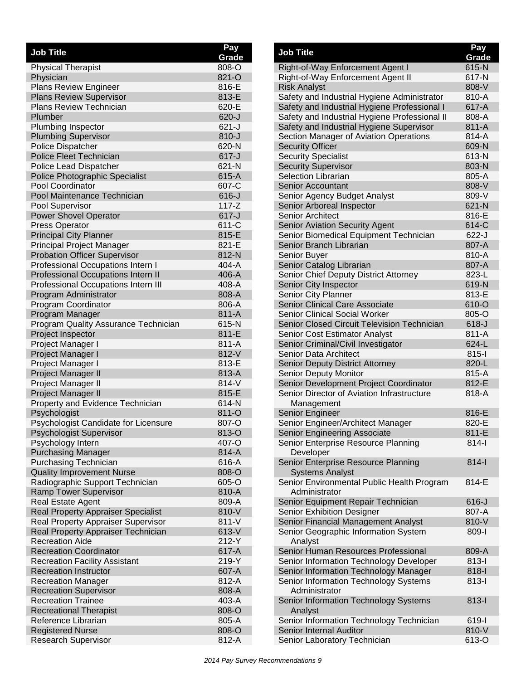| <b>Job Title</b>                                                | Pay            |
|-----------------------------------------------------------------|----------------|
|                                                                 | Grade<br>808-O |
| <b>Physical Therapist</b><br>Physician                          | 821-O          |
| Plans Review Engineer                                           | 816-E          |
| <b>Plans Review Supervisor</b>                                  | 813-E          |
| <b>Plans Review Technician</b>                                  | 620-E          |
| Plumber                                                         | 620-J          |
| Plumbing Inspector                                              | $621 - J$      |
| <b>Plumbing Supervisor</b>                                      | $810 - J$      |
| Police Dispatcher                                               | 620-N          |
| <b>Police Fleet Technician</b>                                  | $617 - J$      |
| Police Lead Dispatcher                                          | 621-N          |
| Police Photographic Specialist                                  | 615-A          |
| <b>Pool Coordinator</b>                                         | 607-C          |
| Pool Maintenance Technician                                     | $616 - J$      |
| Pool Supervisor                                                 | 117-Z          |
| <b>Power Shovel Operator</b>                                    | $617 - J$      |
| <b>Press Operator</b>                                           | 611-C          |
| <b>Principal City Planner</b>                                   | 815-E          |
| Principal Project Manager                                       | 821-E          |
| <b>Probation Officer Supervisor</b>                             | 812-N          |
| Professional Occupations Intern I                               | 404-A          |
| Professional Occupations Intern II                              | 406-A          |
| Professional Occupations Intern III                             | 408-A          |
| Program Administrator                                           | 808-A          |
| Program Coordinator                                             | 806-A          |
| Program Manager                                                 | 811-A          |
| Program Quality Assurance Technician                            | 615-N          |
| Project Inspector                                               | 811-E          |
| Project Manager I                                               | 811-A          |
| Project Manager I                                               | 812-V          |
| Project Manager I                                               | 813-E          |
| Project Manager II                                              | 813-A          |
| Project Manager II                                              | $814-V$        |
| Project Manager II                                              | 815-E          |
| Property and Evidence Technician                                | 614-N          |
| Psychologist                                                    | 811-O          |
| Psychologist Candidate for Licensure<br>Psychologist Supervisor | 807-O<br>813-O |
| Psychology Intern                                               | 407-O          |
| <b>Purchasing Manager</b>                                       | 814-A          |
| <b>Purchasing Technician</b>                                    | 616-A          |
| <b>Quality Improvement Nurse</b>                                | 808-O          |
| Radiographic Support Technician                                 | 605-O          |
| <b>Ramp Tower Supervisor</b>                                    | 810-A          |
| Real Estate Agent                                               | 809-A          |
| <b>Real Property Appraiser Specialist</b>                       | 810-V          |
| Real Property Appraiser Supervisor                              | 811-V          |
| Real Property Appraiser Technician                              | 613-V          |
| <b>Recreation Aide</b>                                          | 212-Y          |
| <b>Recreation Coordinator</b>                                   | 617-A          |
| <b>Recreation Facility Assistant</b>                            | 219-Y          |
| <b>Recreation Instructor</b>                                    | 607-A          |
| <b>Recreation Manager</b>                                       | 812-A          |
| <b>Recreation Supervisor</b>                                    | 808-A          |
| <b>Recreation Trainee</b>                                       | 403-A          |
| <b>Recreational Therapist</b>                                   | 808-O          |
| Reference Librarian                                             | 805-A          |
| <b>Registered Nurse</b>                                         | 808-O          |
| <b>Research Supervisor</b>                                      | 812-A          |
|                                                                 |                |

| Job Title                                                                            | Pay<br>Grade |
|--------------------------------------------------------------------------------------|--------------|
| Right-of-Way Enforcement Agent I                                                     | 615-N        |
| Right-of-Way Enforcement Agent II                                                    | 617-N        |
| <b>Risk Analyst</b>                                                                  | 808-V        |
| Safety and Industrial Hygiene Administrator                                          | 810-A        |
| Safety and Industrial Hygiene Professional I                                         | 617-A        |
| Safety and Industrial Hygiene Professional II                                        | 808-A        |
| Safety and Industrial Hygiene Supervisor                                             | 811-A        |
| Section Manager of Aviation Operations                                               | 814-A        |
| <b>Security Officer</b>                                                              | 609-N        |
| <b>Security Specialist</b>                                                           | 613-N        |
| <b>Security Supervisor</b>                                                           | 803-N        |
| <b>Selection Librarian</b>                                                           | 805-A        |
| <b>Senior Accountant</b>                                                             | 808-V        |
| Senior Agency Budget Analyst                                                         | 809-V        |
| Senior Arboreal Inspector                                                            | 621-N        |
| Senior Architect                                                                     | 816-E        |
| <b>Senior Aviation Security Agent</b>                                                | 614-C        |
| Senior Biomedical Equipment Technician                                               | 622-J        |
| Senior Branch Librarian                                                              | 807-A        |
| <b>Senior Buyer</b>                                                                  | 810-A        |
| Senior Catalog Librarian                                                             | 807-A        |
| Senior Chief Deputy District Attorney                                                | 823-L        |
| Senior City Inspector                                                                | 619-N        |
| Senior City Planner                                                                  | 813-E        |
| <b>Senior Clinical Care Associate</b>                                                | 610-O        |
| Senior Clinical Social Worker                                                        | 805-O        |
| Senior Closed Circuit Television Technician                                          | $618 - J$    |
| Senior Cost Estimator Analyst                                                        | 811-A        |
| Senior Criminal/Civil Investigator                                                   | 624-L        |
| Senior Data Architect                                                                | $815 -$      |
| <b>Senior Deputy District Attorney</b>                                               | 820-L        |
| Senior Deputy Monitor                                                                | 815-A        |
| Senior Development Project Coordinator<br>Senior Director of Aviation Infrastructure | 812-E        |
|                                                                                      | 818-A        |
| Management<br>Senior Engineer                                                        | 816-E        |
| Senior Engineer/Architect Manager                                                    | 820-E        |
| Senior Engineering Associate                                                         | 811-E        |
| Senior Enterprise Resource Planning                                                  | $814 -$      |
| Developer                                                                            |              |
| Senior Enterprise Resource Planning                                                  | $814 -$      |
| <b>Systems Analyst</b>                                                               |              |
| Senior Environmental Public Health Program<br>Administrator                          | 814-E        |
| Senior Equipment Repair Technician                                                   | $616-J$      |
| <b>Senior Exhibition Designer</b>                                                    | 807-A        |
| Senior Financial Management Analyst                                                  | 810-V        |
| Senior Geographic Information System                                                 | 809-l        |
| Analyst                                                                              |              |
| Senior Human Resources Professional                                                  | 809-A        |
| Senior Information Technology Developer                                              | $813 -$      |
| Senior Information Technology Manager                                                | $818 - 1$    |
| Senior Information Technology Systems<br>Administrator                               | $813 -$      |
| Senior Information Technology Systems                                                | $813 -$      |
| Analyst                                                                              |              |
| Senior Information Technology Technician                                             | 619-l        |
| Senior Internal Auditor                                                              | 810-V        |
| Senior Laboratory Technician                                                         | 613-O        |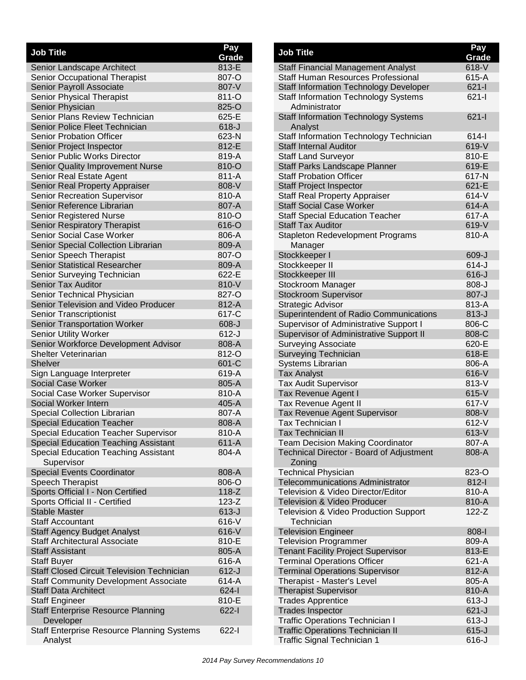| <b>Job Title</b>                                        | Pay<br>Grade |
|---------------------------------------------------------|--------------|
| Senior Landscape Architect                              | 813-E        |
| Senior Occupational Therapist                           | 807-O        |
| Senior Payroll Associate                                | 807-V        |
| Senior Physical Therapist                               | 811-O        |
| <b>Senior Physician</b>                                 | 825-O        |
| Senior Plans Review Technician                          | 625-E        |
| <b>Senior Police Fleet Technician</b>                   | $618-J$      |
| <b>Senior Probation Officer</b>                         | 623-N        |
| Senior Project Inspector                                | 812-E        |
| Senior Public Works Director                            | 819-A        |
| Senior Quality Improvement Nurse                        | 810-O        |
| Senior Real Estate Agent                                | 811-A        |
| Senior Real Property Appraiser                          | 808-V        |
| Senior Recreation Supervisor                            | 810-A        |
| Senior Reference Librarian                              | 807-A        |
| <b>Senior Registered Nurse</b>                          | 810-O        |
| Senior Respiratory Therapist                            | 616-O        |
| <b>Senior Social Case Worker</b>                        | 806-A        |
| Senior Special Collection Librarian                     | 809-A        |
| Senior Speech Therapist                                 | 807-O        |
| <b>Senior Statistical Researcher</b>                    | 809-A        |
| Senior Surveying Technician                             | 622-E        |
| Senior Tax Auditor                                      | 810-V        |
| Senior Technical Physician                              | 827-O        |
| Senior Television and Video Producer                    | 812-A        |
| <b>Senior Transcriptionist</b>                          | 617-C        |
| <b>Senior Transportation Worker</b>                     | $608 - J$    |
| <b>Senior Utility Worker</b>                            | $612 - J$    |
| Senior Workforce Development Advisor                    | 808-A        |
| Shelter Veterinarian                                    | 812-O        |
| <b>Shelver</b>                                          | 601-C        |
| Sign Language Interpreter                               | 619-A        |
| <b>Social Case Worker</b>                               | 805-A        |
| Social Case Worker Supervisor                           | 810-A        |
| Social Worker Intern                                    | 405-A        |
| <b>Special Collection Librarian</b>                     | 807-A        |
| <b>Special Education Teacher</b>                        | 808-A        |
| <b>Special Education Teacher Supervisor</b>             | 810-A        |
| <b>Special Education Teaching Assistant</b>             | 611-A        |
| Special Education Teaching Assistant                    | 804-A        |
| Supervisor                                              |              |
| <b>Special Events Coordinator</b>                       | 808-A        |
| Speech Therapist                                        | 806-O        |
| Sports Official I - Non Certified                       | $118-Z$      |
| Sports Official II - Certified                          | $123-Z$      |
| <b>Stable Master</b>                                    | $613-J$      |
| <b>Staff Accountant</b>                                 | 616-V        |
| <b>Staff Agency Budget Analyst</b>                      | 616-V        |
| Staff Architectural Associate                           | 810-E        |
| <b>Staff Assistant</b>                                  | 805-A        |
| <b>Staff Buyer</b>                                      | 616-A        |
| <b>Staff Closed Circuit Television Technician</b>       | $612-J$      |
| <b>Staff Community Development Associate</b>            | 614-A        |
| <b>Staff Data Architect</b>                             | $624 - 1$    |
| Staff Engineer                                          | 810-E        |
| <b>Staff Enterprise Resource Planning</b>               | $622 - 1$    |
| Developer<br>Staff Enterprise Resource Planning Systems | $622 - 1$    |
| Analyst                                                 |              |
|                                                         |              |

| <b>Job Title</b>                                                                        | Pay<br>Grade       |
|-----------------------------------------------------------------------------------------|--------------------|
| <b>Staff Financial Management Analyst</b>                                               | 618-V              |
| Staff Human Resources Professional                                                      | 615-A              |
| <b>Staff Information Technology Developer</b>                                           | $621 -$            |
| <b>Staff Information Technology Systems</b>                                             | $621 -$            |
| Administrator                                                                           |                    |
| <b>Staff Information Technology Systems</b><br>Analyst                                  | $621 -$            |
| Staff Information Technology Technician                                                 | $614 -$            |
| <b>Staff Internal Auditor</b>                                                           | 619-V              |
| <b>Staff Land Surveyor</b>                                                              | 810-E              |
| Staff Parks Landscape Planner                                                           | 619-E              |
| <b>Staff Probation Officer</b>                                                          | 617-N              |
| <b>Staff Project Inspector</b>                                                          | 621-E              |
| <b>Staff Real Property Appraiser</b>                                                    | $614-V$            |
| <b>Staff Social Case Worker</b>                                                         | 614-A              |
| <b>Staff Special Education Teacher</b>                                                  | 617-A              |
| <b>Staff Tax Auditor</b>                                                                | 619-V              |
| <b>Stapleton Redevelopment Programs</b>                                                 | 810-A              |
| Manager                                                                                 |                    |
| Stockkeeper I                                                                           | 609-J              |
| Stockkeeper II                                                                          | $614 - J$          |
| Stockkeeper III                                                                         | $616 - J$          |
| Stockroom Manager                                                                       | $808 - J$          |
| <b>Stockroom Supervisor</b>                                                             | 807-J              |
| Strategic Advisor                                                                       | 813-A<br>$813 - J$ |
| Superintendent of Radio Communications<br><b>Supervisor of Administrative Support I</b> | 806-C              |
| Supervisor of Administrative Support II                                                 | 808-C              |
| <b>Surveying Associate</b>                                                              | 620-E              |
| Surveying Technician                                                                    | 618-E              |
| Systems Librarian                                                                       | 806-A              |
| <b>Tax Analyst</b>                                                                      | $616-V$            |
| <b>Tax Audit Supervisor</b>                                                             | 813-V              |
| Tax Revenue Agent I                                                                     | 615-V              |
| <b>Tax Revenue Agent II</b>                                                             | $617 - V$          |
| Tax Revenue Agent Supervisor                                                            | 808-V              |
| Tax Technician I                                                                        | $612-V$            |
| Tax Technician II                                                                       | 613-V              |
| <b>Team Decision Making Coordinator</b>                                                 | 807-A              |
| Technical Director - Board of Adjustment                                                | 808-A              |
| Zoning                                                                                  |                    |
| <b>Technical Physician</b>                                                              | 823-O              |
| <b>Telecommunications Administrator</b>                                                 | $812-I$            |
| Television & Video Director/Editor                                                      | 810-A              |
| <b>Television &amp; Video Producer</b>                                                  | 810-A              |
| Television & Video Production Support<br>Technician                                     | $122 - Z$          |
| <b>Television Engineer</b>                                                              | $808 - 1$          |
| <b>Television Programmer</b>                                                            | 809-A              |
| <b>Tenant Facility Project Supervisor</b>                                               | 813-E              |
| <b>Terminal Operations Officer</b>                                                      | 621-A              |
| <b>Terminal Operations Supervisor</b>                                                   | 812-A              |
| Therapist - Master's Level                                                              | 805-A              |
| <b>Therapist Supervisor</b>                                                             | 810-A              |
| <b>Trades Apprentice</b>                                                                | $613-J$            |
| <b>Trades Inspector</b>                                                                 | $621 - J$          |
| <b>Traffic Operations Technician I</b>                                                  | $613-J$            |
| <b>Traffic Operations Technician II</b>                                                 | $615 - J$          |
| Traffic Signal Technician 1                                                             | $616-J$            |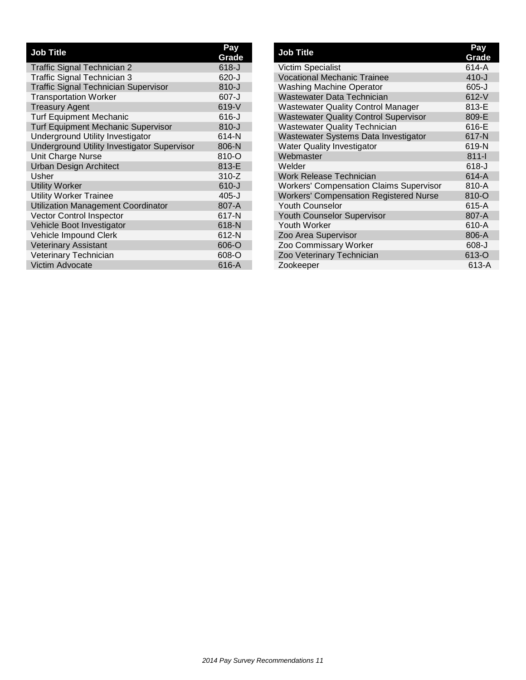| <b>Job Title</b>                                   | Pay<br>Grade |
|----------------------------------------------------|--------------|
| <b>Traffic Signal Technician 2</b>                 | $618 - J$    |
| Traffic Signal Technician 3                        | 620-J        |
| <b>Traffic Signal Technician Supervisor</b>        | $810 - J$    |
| <b>Transportation Worker</b>                       | $607 - J$    |
| <b>Treasury Agent</b>                              | 619-V        |
| <b>Turf Equipment Mechanic</b>                     | $616 - J$    |
| <b>Turf Equipment Mechanic Supervisor</b>          | $810 - J$    |
| Underground Utility Investigator                   | 614-N        |
| <b>Underground Utility Investigator Supervisor</b> | 806-N        |
| Unit Charge Nurse                                  | 810-O        |
| <b>Urban Design Architect</b>                      | 813-E        |
| Usher                                              | $310-Z$      |
| <b>Utility Worker</b>                              | $610 - J$    |
| <b>Utility Worker Trainee</b>                      | 405-J        |
| <b>Utilization Management Coordinator</b>          | 807-A        |
| <b>Vector Control Inspector</b>                    | 617-N        |
| Vehicle Boot Investigator                          | 618-N        |
| Vehicle Impound Clerk                              | 612-N        |
| <b>Veterinary Assistant</b>                        | 606-O        |
| Veterinary Technician                              | 608-O        |
| Victim Advocate                                    | 616-A        |

| <b>Job Title</b>                               | Pay<br>Grade |
|------------------------------------------------|--------------|
| <b>Victim Specialist</b>                       | 614-A        |
| <b>Vocational Mechanic Trainee</b>             | $410 - J$    |
| <b>Washing Machine Operator</b>                | $605 - J$    |
| Wastewater Data Technician                     | $612-V$      |
| <b>Wastewater Quality Control Manager</b>      | 813-E        |
| <b>Wastewater Quality Control Supervisor</b>   | 809-E        |
| <b>Wastewater Quality Technician</b>           | 616-E        |
| Wastewater Systems Data Investigator           | 617-N        |
| <b>Water Quality Investigator</b>              | 619-N        |
| Webmaster                                      | $811 -$      |
| Welder                                         | $618 - J$    |
| <b>Work Release Technician</b>                 | $614-A$      |
| <b>Workers' Compensation Claims Supervisor</b> | 810-A        |
| <b>Workers' Compensation Registered Nurse</b>  | 810-O        |
| <b>Youth Counselor</b>                         | 615-A        |
| <b>Youth Counselor Supervisor</b>              | 807-A        |
| Youth Worker                                   | 610-A        |
| Zoo Area Supervisor                            | 806-A        |
| Zoo Commissary Worker                          | $608 - J$    |
| Zoo Veterinary Technician                      | 613-O        |
| Zookeeper                                      | 613-A        |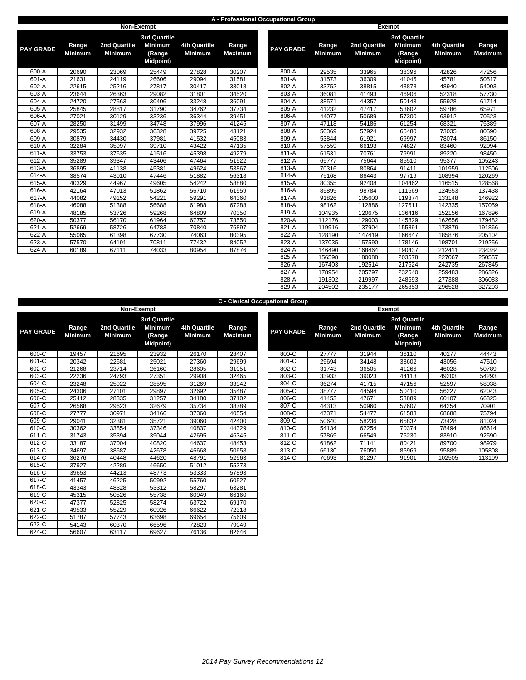### **A - Professional Occupational Group**

|                  |                         | Non-Exempt                     |                                                                     |                                       |                         |                  |                         |                                       | <b>Exempt</b>             |
|------------------|-------------------------|--------------------------------|---------------------------------------------------------------------|---------------------------------------|-------------------------|------------------|-------------------------|---------------------------------------|---------------------------|
| <b>PAY GRADE</b> | Range<br><b>Minimum</b> | 2nd Quartile<br><b>Minimum</b> | <b>3rd Quartile</b><br><b>Minimum</b><br>(Range<br><b>Midpoint)</b> | <b>4th Quartile</b><br><b>Minimum</b> | Range<br><b>Maximum</b> | <b>PAY GRADE</b> | Range<br><b>Minimum</b> | <b>2nd Quartile</b><br><b>Minimum</b> | 3r <sub>c</sub><br>M<br>M |
| 600-A            | 20690                   | 23069                          | 25449                                                               | 27828                                 | 30207                   | 800-A            | 29535                   | 33965                                 |                           |
| 601-A            | 21631                   | 24119                          | 26606                                                               | 29094                                 | 31581                   | 801-A            | 31573                   | 36309                                 |                           |
| 602-A            | 22615                   | 25216                          | 27817                                                               | 30417                                 | 33018                   | 802-A            | 33752                   | 38815                                 |                           |
| 603-A            | 23644                   | 26363                          | 29082                                                               | 31801                                 | 34520                   | 803-A            | 36081                   | 41493                                 |                           |
| 604-A            | 24720                   | 27563                          | 30406                                                               | 33248                                 | 36091                   | 804-A            | 38571                   | 44357                                 |                           |
| 605-A            | 25845                   | 28817                          | 31790                                                               | 34762                                 | 37734                   | 805-A            | 41232                   | 47417                                 |                           |
| 606-A            | 27021                   | 30129                          | 33236                                                               | 36344                                 | 39451                   | 806-A            | 44077                   | 50689                                 |                           |
| 607-A            | 28250                   | 31499                          | 34748                                                               | 37996                                 | 41245                   | 807-A            | 47118                   | 54186                                 |                           |
| 608-A            | 29535                   | 32932                          | 36328                                                               | 39725                                 | 43121                   | 808-A            | 50369                   | 57924                                 |                           |
| 609-A            | 30879                   | 34430                          | 37981                                                               | 41532                                 | 45083                   | 809-A            | 53844                   | 61921                                 |                           |
| 610-A            | 32284                   | 35997                          | 39710                                                               | 43422                                 | 47135                   | 810-A            | 57559                   | 66193                                 |                           |
| 611-A            | 33753                   | 37635                          | 41516                                                               | 45398                                 | 49279                   | $811-A$          | 61531                   | 70761                                 |                           |
| 612-A            | 35289                   | 39347                          | 43406                                                               | 47464                                 | 51522                   | 812-A            | 65777                   | 75644                                 |                           |
| 613-A            | 36895                   | 41138                          | 45381                                                               | 49624                                 | 53867                   | 813-A            | 70316                   | 80864                                 |                           |
| 614-A            | 38574                   | 43010                          | 47446                                                               | 51882                                 | 56318                   | 814-A            | 75168                   | 86443                                 |                           |
| 615-A            | 40329                   | 44967                          | 49605                                                               | 54242                                 | 58880                   | 815-A            | 80355                   | 92408                                 |                           |
| 616-A            | 42164                   | 47013                          | 51862                                                               | 56710                                 | 61559                   | 816-A            | 85899                   | 98784                                 |                           |
| 617-A            | 44082                   | 49152                          | 54221                                                               | 59291                                 | 64360                   | 817-A            | 91826                   | 105600                                |                           |
| 618-A            | 46088                   | 51388                          | 56688                                                               | 61988                                 | 67288                   | 818-A            | 98162                   | 112886                                |                           |
| 619-A            | 48185                   | 53726                          | 59268                                                               | 64809                                 | 70350                   | 819-A            | 104935                  | 120675                                |                           |
| 620-A            | 50377                   | 56170                          | 61964                                                               | 67757                                 | 73550                   | 820-A            | 112176                  | 129003                                |                           |
| 621-A            | 52669                   | 58726                          | 64783                                                               | 70840                                 | 76897                   | 821-A            | 119916                  | 137904                                |                           |
| 622-A            | 55065                   | 61398                          | 67730                                                               | 74063                                 | 80395                   | 822-A            | 128190                  | 147419                                |                           |
| 623-A            | 57570                   | 64191                          | 70811                                                               | 77432                                 | 84052                   | 823-A            | 137035                  | 157590                                |                           |
| 624-A            | 60189                   | 67111                          | 74033                                                               | 80954                                 | 87876                   | 824-A            | 146490                  | 168464                                |                           |
|                  |                         |                                |                                                                     |                                       |                         |                  |                         |                                       |                           |

| <b>GRADE</b>        | Range<br><b>Minimum</b> | 2nd Quartile<br><b>Minimum</b> | 3rd Quartile<br><b>Minimum</b><br>(Range<br><b>Midpoint</b> ) | <b>4th Quartile</b><br><b>Minimum</b> | Range<br><b>Maximum</b> | <b>PAY GRADE</b> | Range<br><b>Minimum</b> | <b>2nd Quartile</b><br><b>Minimum</b> | <b>3rd Quartile</b><br><b>Minimum</b><br>(Range<br><b>Midpoint</b> ) | <b>4th Quartile</b><br><b>Minimum</b> | Range<br><b>Maximum</b> |
|---------------------|-------------------------|--------------------------------|---------------------------------------------------------------|---------------------------------------|-------------------------|------------------|-------------------------|---------------------------------------|----------------------------------------------------------------------|---------------------------------------|-------------------------|
| 600-A               | 20690                   | 23069                          | 25449                                                         | 27828                                 | 30207                   | 800-A            | 29535                   | 33965                                 | 38396                                                                | 42826                                 | 47256                   |
| 601-A               | 21631                   | 24119                          | 26606                                                         | 29094                                 | 31581                   | 801-A            | 31573                   | 36309                                 | 41045                                                                | 45781                                 | 50517                   |
| $602-A$             | 22615                   | 25216                          | 27817                                                         | 30417                                 | 33018                   | 802-A            | 33752                   | 38815                                 | 43878                                                                | 48940                                 | 54003                   |
| $603-A$             | 23644                   | 26363                          | 29082                                                         | 31801                                 | 34520                   | 803-A            | 36081                   | 41493                                 | 46906                                                                | 52318                                 | 57730                   |
| 604-A               | 24720                   | 27563                          | 30406                                                         | 33248                                 | 36091                   | 804-A            | 38571                   | 44357                                 | 50143                                                                | 55928                                 | 61714                   |
| 605-A               | 25845                   | 28817                          | 31790                                                         | 34762                                 | 37734                   | 805-A            | 41232                   | 47417                                 | 53602                                                                | 59786                                 | 65971                   |
| 606-A               | 27021                   | 30129                          | 33236                                                         | 36344                                 | 39451                   | 806-A            | 44077                   | 50689                                 | 57300                                                                | 63912                                 | 70523                   |
| 607-A               | 28250                   | 31499                          | 34748                                                         | 37996                                 | 41245                   | 807-A            | 47118                   | 54186                                 | 61254                                                                | 68321                                 | 75389                   |
| 608-A               | 29535                   | 32932                          | 36328                                                         | 39725                                 | 43121                   | 808-A            | 50369                   | 57924                                 | 65480                                                                | 73035                                 | 80590                   |
| 609-A               | 30879                   | 34430                          | 37981                                                         | 41532                                 | 45083                   | 809-A            | 53844                   | 61921                                 | 69997                                                                | 78074                                 | 86150                   |
| $610-A$             | 32284                   | 35997                          | 39710                                                         | 43422                                 | 47135                   | 810-A            | 57559                   | 66193                                 | 74827                                                                | 83460                                 | 92094                   |
| 611-A               | 33753                   | 37635                          | 41516                                                         | 45398                                 | 49279                   | $811-A$          | 61531                   | 70761                                 | 79991                                                                | 89220                                 | 98450                   |
| 612-A               | 35289                   | 39347                          | 43406                                                         | 47464                                 | 51522                   | 812-A            | 65777                   | 75644                                 | 85510                                                                | 95377                                 | 105243                  |
| 613-A               | 36895                   | 41138                          | 45381                                                         | 49624                                 | 53867                   | 813-A            | 70316                   | 80864                                 | 91411                                                                | 101959                                | 112506                  |
| $614-A$             | 38574                   | 43010                          | 47446                                                         | 51882                                 | 56318                   | 814-A            | 75168                   | 86443                                 | 97719                                                                | 108994                                | 120269                  |
| 615-A               | 40329                   | 44967                          | 49605                                                         | 54242                                 | 58880                   | 815-A            | 80355                   | 92408                                 | 104462                                                               | 116515                                | 128568                  |
| 616-A               | 42164                   | 47013                          | 51862                                                         | 56710                                 | 61559                   | 816-A            | 85899                   | 98784                                 | 111669                                                               | 124553                                | 137438                  |
| $617-A$             | 44082                   | 49152                          | 54221                                                         | 59291                                 | 64360                   | 817-A            | 91826                   | 105600                                | 119374                                                               | 133148                                | 146922                  |
| 618-A               | 46088                   | 51388                          | 56688                                                         | 61988                                 | 67288                   | 818-A            | 98162                   | 112886                                | 127611                                                               | 142335                                | 157059                  |
| 619-A               | 48185                   | 53726                          | 59268                                                         | 64809                                 | 70350                   | 819-A            | 104935                  | 120675                                | 136416                                                               | 152156                                | 167896                  |
| 620-A               | 50377                   | 56170                          | 61964                                                         | 67757                                 | 73550                   | 820-A            | 112176                  | 129003                                | 145829                                                               | 162656                                | 179482                  |
| 621-A               | 52669                   | 58726                          | 64783                                                         | 70840                                 | 76897                   | 821-A            | 119916                  | 137904                                | 155891                                                               | 173879                                | 191866                  |
| 622-A               | 55065                   | 61398                          | 67730                                                         | 74063                                 | 80395                   | 822-A            | 128190                  | 147419                                | 166647                                                               | 185876                                | 205104                  |
| $\overline{6}$ 23-A | 57570                   | 64191                          | 70811                                                         | 77432                                 | 84052                   | 823-A            | 137035                  | 157590                                | 178146                                                               | 198701                                | 219256                  |
| 624-A               | 60189                   | 67111                          | 74033                                                         | 80954                                 | 87876                   | 824-A            | 146490                  | 168464                                | 190437                                                               | 212411                                | 234384                  |
|                     |                         |                                |                                                               |                                       |                         | 825-A            | 156598                  | 180088                                | 203578                                                               | 227067                                | 250557                  |
|                     |                         |                                |                                                               |                                       |                         | 826-A            | 167403                  | 192514                                | 217624                                                               | 242735                                | 267845                  |
|                     |                         |                                |                                                               |                                       |                         | 827-A            | 178954                  | 205797                                | 232640                                                               | 259483                                | 286326                  |
|                     |                         |                                |                                                               |                                       |                         | 828-A            | 191302                  | 219997                                | 248693                                                               | 277388                                | 306083                  |
|                     |                         |                                |                                                               |                                       |                         | 829-A            | 204502                  | 235177                                | 265853                                                               | 296528                                | 327203                  |

|                  | <b>C</b> - Clerical Occupational Group |                                |                                              |                                       |                         |  |                  |                         |                                |                                       |                                       |                        |  |  |
|------------------|----------------------------------------|--------------------------------|----------------------------------------------|---------------------------------------|-------------------------|--|------------------|-------------------------|--------------------------------|---------------------------------------|---------------------------------------|------------------------|--|--|
|                  |                                        |                                | Non-Exempt                                   |                                       |                         |  |                  |                         |                                | Exempt                                |                                       |                        |  |  |
|                  |                                        |                                | 3rd Quartile                                 |                                       |                         |  |                  |                         |                                | <b>3rd Quartile</b>                   |                                       |                        |  |  |
| <b>PAY GRADE</b> | Range<br><b>Minimum</b>                | 2nd Quartile<br><b>Minimum</b> | <b>Minimum</b><br>(Range<br><b>Midpoint)</b> | <b>4th Quartile</b><br><b>Minimum</b> | Range<br><b>Maximum</b> |  | <b>PAY GRADE</b> | Range<br><b>Minimum</b> | 2nd Quartile<br><b>Minimum</b> | <b>Minimum</b><br>(Range<br>Midpoint) | <b>4th Quartile</b><br><b>Minimum</b> | Range<br><b>Maximu</b> |  |  |
| 600-C            | 19457                                  | 21695                          | 23932                                        | 26170                                 | 28407                   |  | 800-C            | 27777                   | 31944                          | 36110                                 | 40277                                 | 44443                  |  |  |
| 601-C            | 20342                                  | 22681                          | 25021                                        | 27360                                 | 29699                   |  | 801-C            | 29694                   | 34148                          | 38602                                 | 43056                                 | 47510                  |  |  |
| 602-C            | 21268                                  | 23714                          | 26160                                        | 28605                                 | 31051                   |  | 802-C            | 31743                   | 36505                          | 41266                                 | 46028                                 | 50789                  |  |  |
| 603-C            | 22236                                  | 24793                          | 27351                                        | 29908                                 | 32465                   |  | 803-C            | 33933                   | 39023                          | 44113                                 | 49203                                 | 54293                  |  |  |
| 604-C            | 23248                                  | 25922                          | 28595                                        | 31269                                 | 33942                   |  | 804-C            | 36274                   | 41715                          | 47156                                 | 52597                                 | 58038                  |  |  |
| 605-C            | 24306                                  | 27101                          | 29897                                        | 32692                                 | 35487                   |  | 805-C            | 38777                   | 44594                          | 50410                                 | 56227                                 | 62043                  |  |  |
| 606-C            | 25412                                  | 28335                          | 31257                                        | 34180                                 | 37102                   |  | 806-C            | 41453                   | 47671                          | 53889                                 | 60107                                 | 66325                  |  |  |
| 607-C            | 26568                                  | 29623                          | 32679                                        | 35734                                 | 38789                   |  | 807-C            | 44313                   | 50960                          | 57607                                 | 64254                                 | 70901                  |  |  |
| 608-C            | 27777                                  | 30971                          | 34166                                        | 37360                                 | 40554                   |  | 808-C            | 47371                   | 54477                          | 61583                                 | 68688                                 | 75794                  |  |  |
| 609-C            | 29041                                  | 32381                          | 35721                                        | 39060                                 | 42400                   |  | 809-C            | 50640                   | 58236                          | 65832                                 | 73428                                 | 81024                  |  |  |
| 610-C            | 30362                                  | 33854                          | 37346                                        | 40837                                 | 44329                   |  | 810-C            | 54134                   | 62254                          | 70374                                 | 78494                                 | 86614                  |  |  |
| $611-C$          | 31743                                  | 35394                          | 39044                                        | 42695                                 | 46345                   |  | 811-C            | 57869                   | 66549                          | 75230                                 | 83910                                 | 92590                  |  |  |
| $612-C$          | 33187                                  | 37004                          | 40820                                        | 44637                                 | 48453                   |  | 812-C            | 61862                   | 71141                          | 80421                                 | 89700                                 | 98979                  |  |  |
| 613-C            | 34697                                  | 38687                          | 42678                                        | 46668                                 | 50658                   |  | 813-C            | 66130                   | 76050                          | 85969                                 | 95889                                 | 105808                 |  |  |
| $614-C$          | 36276                                  | 40448                          | 44620                                        | 48791                                 | 52963                   |  | 814-C            | 70693                   | 81297                          | 91901                                 | 102505                                | 113109                 |  |  |
| $615-C$          | 37927                                  | 42289                          | 46650                                        | 51012                                 | 55373                   |  |                  |                         |                                |                                       |                                       |                        |  |  |
| 616-C            | 39653                                  | 44213                          | 48773                                        | 53333                                 | 57893                   |  |                  |                         |                                |                                       |                                       |                        |  |  |
| 617-C            | 41457                                  | 46225                          | 50992                                        | 55760                                 | 60527                   |  |                  |                         |                                |                                       |                                       |                        |  |  |
| 618-C            | 43343                                  | 48328                          | 53312                                        | 58297                                 | 63281                   |  |                  |                         |                                |                                       |                                       |                        |  |  |
| 619-C            | 45315                                  | 50526                          | 55738                                        | 60949                                 | 66160                   |  |                  |                         |                                |                                       |                                       |                        |  |  |
| 620-C            | 47377                                  | 52825                          | 58274                                        | 63722                                 | 69170                   |  |                  |                         |                                |                                       |                                       |                        |  |  |
| $621-C$          | 49533                                  | 55229                          | 60926                                        | 66622                                 | 72318                   |  |                  |                         |                                |                                       |                                       |                        |  |  |
| 622-C            | 51787                                  | 57743                          | 63698                                        | 69654                                 | 75609                   |  |                  |                         |                                |                                       |                                       |                        |  |  |
| 623-C            | 54143                                  | 60370                          | 66596                                        | 72823                                 | 79049                   |  |                  |                         |                                |                                       |                                       |                        |  |  |
| $624-C$          | 56607                                  | 63117                          | 69627                                        | 76136                                 | 82646                   |  |                  |                         |                                |                                       |                                       |                        |  |  |

|                     |                         | Non-Exempt                     |                                                              |                                |                  |                  |                         | Exempt                         |                                                        |                                |                         |
|---------------------|-------------------------|--------------------------------|--------------------------------------------------------------|--------------------------------|------------------|------------------|-------------------------|--------------------------------|--------------------------------------------------------|--------------------------------|-------------------------|
| <b><i>CRADE</i></b> | Range<br><b>Minimum</b> | 2nd Quartile<br><b>Minimum</b> | 3rd Quartile<br><b>Minimum</b><br>(Range<br><b>Midpoint)</b> | 4th Quartile<br><b>Minimum</b> | Range<br>Maximum | <b>PAY GRADE</b> | Range<br><b>Minimum</b> | 2nd Quartile<br><b>Minimum</b> | 3rd Quartile<br>Minimum<br>(Range<br><b>Midpoint</b> ) | 4th Quartile<br><b>Minimum</b> | Range<br><b>Maximum</b> |
| 600-C               | 19457                   | 21695                          | 23932                                                        | 26170                          | 28407            | 800-C            | 27777                   | 31944                          | 36110                                                  | 40277                          | 44443                   |
| 601-C               | 20342                   | 22681                          | 25021                                                        | 27360                          | 29699            | 801-C            | 29694                   | 34148                          | 38602                                                  | 43056                          | 47510                   |
| 602-C               | 21268                   | 23714                          | 26160                                                        | 28605                          | 31051            | 802-C            | 31743                   | 36505                          | 41266                                                  | 46028                          | 50789                   |
| 603-C               | 22236                   | 24793                          | 27351                                                        | 29908                          | 32465            | 803-C            | 33933                   | 39023                          | 44113                                                  | 49203                          | 54293                   |
| 604-C               | 23248                   | 25922                          | 28595                                                        | 31269                          | 33942            | 804-C            | 36274                   | 41715                          | 47156                                                  | 52597                          | 58038                   |
| 605-C               | 24306                   | 27101                          | 29897                                                        | 32692                          | 35487            | 805-C            | 38777                   | 44594                          | 50410                                                  | 56227                          | 62043                   |
| 606-C               | 25412                   | 28335                          | 31257                                                        | 34180                          | 37102            | 806-C            | 41453                   | 47671                          | 53889                                                  | 60107                          | 66325                   |
| 607-C               | 26568                   | 29623                          | 32679                                                        | 35734                          | 38789            | 807-C            | 44313                   | 50960                          | 57607                                                  | 64254                          | 70901                   |
| 608-C               | 27777                   | 30971                          | 34166                                                        | 37360                          | 40554            | 808-C            | 47371                   | 54477                          | 61583                                                  | 68688                          | 75794                   |
| 609-C               | 29041                   | 32381                          | 35721                                                        | 39060                          | 42400            | 809-C            | 50640                   | 58236                          | 65832                                                  | 73428                          | 81024                   |
| 610-C               | 30362                   | 33854                          | 37346                                                        | 40837                          | 44329            | 810-C            | 54134                   | 62254                          | 70374                                                  | 78494                          | 86614                   |
| 611-C               | 31743                   | 35394                          | 39044                                                        | 42695                          | 46345            | 811-C            | 57869                   | 66549                          | 75230                                                  | 83910                          | 92590                   |
| 612-C               | 33187                   | 37004                          | 40820                                                        | 44637                          | 48453            | 812-C            | 61862                   | 71141                          | 80421                                                  | 89700                          | 98979                   |
| 613-C               | 34697                   | 38687                          | 42678                                                        | 46668                          | 50658            | 813-C            | 66130                   | 76050                          | 85969                                                  | 95889                          | 105808                  |
| 614-C               | 36276                   | 40448                          | 44620                                                        | 48791                          | 52963            | 814-C            | 70693                   | 81297                          | 91901                                                  | 102505                         | 113109                  |
|                     |                         |                                |                                                              |                                |                  |                  |                         |                                |                                                        |                                |                         |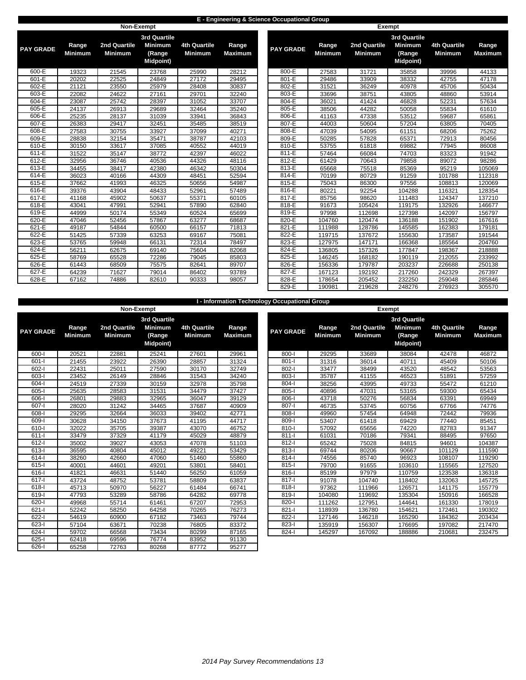### **E - Engineering & Science Occupational Group**

|                  |                         |                                | Non-Exempt                                   |                                       |                         |                  | <b>Exempt</b>           |                                |                                              |                                       |                         |
|------------------|-------------------------|--------------------------------|----------------------------------------------|---------------------------------------|-------------------------|------------------|-------------------------|--------------------------------|----------------------------------------------|---------------------------------------|-------------------------|
|                  |                         |                                | 3rd Quartile                                 |                                       |                         |                  |                         |                                | 3rd Quartile                                 |                                       |                         |
| <b>PAY GRADE</b> | Range<br><b>Minimum</b> | 2nd Quartile<br><b>Minimum</b> | <b>Minimum</b><br>(Range<br><b>Midpoint)</b> | <b>4th Quartile</b><br><b>Minimum</b> | Range<br><b>Maximum</b> | <b>PAY GRADE</b> | Range<br><b>Minimum</b> | 2nd Quartile<br><b>Minimum</b> | <b>Minimum</b><br>(Range<br><b>Midpoint)</b> | <b>4th Quartile</b><br><b>Minimum</b> | Range<br><b>Maximur</b> |
| 600-E            | 19323                   | 21545                          | 23768                                        | 25990                                 | 28212                   | 800-E            | 27583                   | 31721                          | 35858                                        | 39996                                 | 44133                   |
| 601-E            | 20202                   | 22525                          | 24849                                        | 27172                                 | 29495                   | 801-E            | 29486                   | 33909                          | 38332                                        | 42755                                 | 47178                   |
| $602-E$          | 21121                   | 23550                          | 25979                                        | 28408                                 | 30837                   | $802-E$          | 31521                   | 36249                          | 40978                                        | 45706                                 | 50434                   |
| $603-E$          | 22082                   | 24622                          | 27161                                        | 29701                                 | 32240                   | 803-E            | 33696                   | 38751                          | 43805                                        | 48860                                 | 53914                   |
| $604-E$          | 23087                   | 25742                          | 28397                                        | 31052                                 | 33707                   | 804-E            | 36021                   | 41424                          | 46828                                        | 52231                                 | 57634                   |
| 605-E            | 24137                   | 26913                          | 29689                                        | 32464                                 | 35240                   | 805-E            | 38506                   | 44282                          | 50058                                        | 55834                                 | 61610                   |
| 606-E            | 25235                   | 28137                          | 31039                                        | 33941                                 | 36843                   | 806-E            | 41163                   | 47338                          | 53512                                        | 59687                                 | 65861                   |
| $607-E$          | 26383                   | 29417                          | 32451                                        | 35485                                 | 38519                   | 807-E            | 44003                   | 50604                          | 57204                                        | 63805                                 | 70405                   |
| 608-E            | 27583                   | 30755                          | 33927                                        | 37099                                 | 40271                   | 808-E            | 47039                   | 54095                          | 61151                                        | 68206                                 | 75262                   |
| 609-E            | 28838                   | 32154                          | 35471                                        | 38787                                 | 42103                   | 809-E            | 50285                   | 57828                          | 65371                                        | 72913                                 | 80456                   |
| $610-E$          | 30150                   | 33617                          | 37085                                        | 40552                                 | 44019                   | 810-E            | 53755                   | 61818                          | 69882                                        | 77945                                 | 86008                   |
| 611-E            | 31522                   | 35147                          | 38772                                        | 42397                                 | 46022                   | $811-E$          | 57464                   | 66084                          | 74703                                        | 83323                                 | 91942                   |
| 612-E            | 32956                   | 36746                          | 40536                                        | 44326                                 | 48116                   | 812-E            | 61429                   | 70643                          | 79858                                        | 89072                                 | 98286                   |
| $613-E$          | 34455                   | 38417                          | 42380                                        | 46342                                 | 50304                   | 813-E            | 65668                   | 75518                          | 85369                                        | 95219                                 | 105069                  |
| $614-E$          | 36023                   | 40166                          | 44309                                        | 48451                                 | 52594                   | $814-E$          | 70199                   | 80729                          | 91259                                        | 101788                                | 112318                  |
| $615-E$          | 37662                   | 41993                          | 46325                                        | 50656                                 | 54987                   | 815-E            | 75043                   | 86300                          | 97556                                        | 108813                                | 120069                  |
| 616-E            | 39376                   | 43904                          | 48433                                        | 52961                                 | 57489                   | 816-E            | 80221                   | 92254                          | 104288                                       | 116321                                | 128354                  |
| $617-E$          | 41168                   | 45902                          | 50637                                        | 55371                                 | 60105                   | 817-E            | 85756                   | 98620                          | 111483                                       | 124347                                | 137210                  |
| 618-E            | 43041                   | 47991                          | 52941                                        | 57890                                 | 62840                   | 818-E            | 91673                   | 105424                         | 119175                                       | 132926                                | 146677                  |
| 619-E            | 44999                   | 50174                          | 55349                                        | 60524                                 | 65699                   | 819-E            | 97998                   | 112698                         | 127398                                       | 142097                                | 156797                  |
| 620-E            | 47046                   | 52456                          | 57867                                        | 63277                                 | 68687                   | 820-E            | 104760                  | 120474                         | 136188                                       | 151902                                | 167616                  |
| 621-E            | 49187                   | 54844                          | 60500                                        | 66157                                 | 71813                   | $821-E$          | 111988                  | 128786                         | 145585                                       | 162383                                | 179181                  |
| $622-E$          | 51425                   | 57339                          | 63253                                        | 69167                                 | 75081                   | 822-E            | 119715                  | 137672                         | 155630                                       | 173587                                | 191544                  |
| 623-E            | 53765                   | 59948                          | 66131                                        | 72314                                 | 78497                   | 823-E            | 127975                  | 147171                         | 166368                                       | 185564                                | 204760                  |
| $624-E$          | 56211                   | 62675                          | 69140                                        | 75604                                 | 82068                   | 824-E            | 136805                  | 157326                         | 177847                                       | 198367                                | 218888                  |
| $625-E$          | 58769                   | 65528                          | 72286                                        | 79045                                 | 85803                   | 825-E            | 146245                  | 168182                         | 190119                                       | 212055                                | 233992                  |
| 626-E            | 61443                   | 68509                          | 75575                                        | 82641                                 | 89707                   | 826-E            | 156336                  | 179787                         | 203237                                       | 226688                                | 250138                  |
| 627-E            | 64239                   | 71627                          | 79014                                        | 86402                                 | 93789                   | 827-E            | 167123                  | 192192                         | 217260                                       | 242329                                | 267397                  |
| $628-E$          | 67162                   | 74886                          | 82610                                        | 90333                                 | 98057                   | 828-E            | 178654                  | 205452                         | 232250                                       | 259048                                | 285846                  |
|                  |                         |                                |                                              |                                       |                         |                  |                         |                                |                                              |                                       |                         |

|         |                  |                |                | 3rd Quartile     |                     |                |
|---------|------------------|----------------|----------------|------------------|---------------------|----------------|
| Range   | <b>PAY GRADE</b> | Range          | 2nd Quartile   | <b>Minimum</b>   | <b>4th Quartile</b> | Range          |
| Maximum |                  | <b>Minimum</b> | <b>Minimum</b> | (Range           | <b>Minimum</b>      | <b>Maximum</b> |
|         |                  |                |                | <b>Midpoint)</b> |                     |                |
| 28212   | 800-E            | 27583          | 31721          | 35858            | 39996               | 44133          |
| 29495   | 801-E            | 29486          | 33909          | 38332            | 42755               | 47178          |
| 30837   | 802-E            | 31521          | 36249          | 40978            | 45706               | 50434          |
| 32240   | 803-E            | 33696          | 38751          | 43805            | 48860               | 53914          |
| 33707   | 804-E            | 36021          | 41424          | 46828            | 52231               | 57634          |
| 35240   | 805-E            | 38506          | 44282          | 50058            | 55834               | 61610          |
| 36843   | 806-E            | 41163          | 47338          | 53512            | 59687               | 65861          |
| 38519   | 807-E            | 44003          | 50604          | 57204            | 63805               | 70405          |
| 40271   | 808-E            | 47039          | 54095          | 61151            | 68206               | 75262          |
| 42103   | 809-E            | 50285          | 57828          | 65371            | 72913               | 80456          |
| 44019   | 810-E            | 53755          | 61818          | 69882            | 77945               | 86008          |
| 46022   | $811-E$          | 57464          | 66084          | 74703            | 83323               | 91942          |
| 48116   | 812-E            | 61429          | 70643          | 79858            | 89072               | 98286          |
| 50304   | 813-E            | 65668          | 75518          | 85369            | 95219               | 105069         |
| 52594   | 814-E            | 70199          | 80729          | 91259            | 101788              | 112318         |
| 54987   | 815-E            | 75043          | 86300          | 97556            | 108813              | 120069         |
| 57489   | 816-E            | 80221          | 92254          | 104288           | 116321              | 128354         |
| 60105   | 817-E            | 85756          | 98620          | 111483           | 124347              | 137210         |
| 62840   | 818-E            | 91673          | 105424         | 119175           | 132926              | 146677         |
| 65699   | 819-E            | 97998          | 112698         | 127398           | 142097              | 156797         |
| 68687   | 820-E            | 104760         | 120474         | 136188           | 151902              | 167616         |
| 71813   | 821-E            | 111988         | 128786         | 145585           | 162383              | 179181         |
| 75081   | 822-E            | 119715         | 137672         | 155630           | 173587              | 191544         |
| 78497   | 823-E            | 127975         | 147171         | 166368           | 185564              | 204760         |
| 82068   | 824-E            | 136805         | 157326         | 177847           | 198367              | 218888         |
| 85803   | 825-E            | 146245         | 168182         | 190119           | 212055              | 233992         |
| 89707   | 826-E            | 156336         | 179787         | 203237           | 226688              | 250138         |
| 93789   | 827-E            | 167123         | 192192         | 217260           | 242329              | 267397         |
| 98057   | 828-E            | 178654         | 205452         | 232250           | 259048              | 285846         |
|         | 829-E            | 190981         | 219628         | 248276           | 276923              | 305570         |

|                  |                         |                                |                                                                     |                                       |                         | I - Information Technology Occupational Group |                         |                                |                           |
|------------------|-------------------------|--------------------------------|---------------------------------------------------------------------|---------------------------------------|-------------------------|-----------------------------------------------|-------------------------|--------------------------------|---------------------------|
|                  |                         |                                | Non-Exempt                                                          |                                       |                         |                                               |                         |                                | <b>Exempt</b>             |
| <b>PAY GRADE</b> | Range<br><b>Minimum</b> | 2nd Quartile<br><b>Minimum</b> | <b>3rd Quartile</b><br><b>Minimum</b><br>(Range<br><b>Midpoint)</b> | <b>4th Quartile</b><br><b>Minimum</b> | Range<br><b>Maximum</b> | <b>PAY GRADE</b>                              | Range<br><b>Minimum</b> | 2nd Quartile<br><b>Minimum</b> | 3r <sub>c</sub><br>M<br>Μ |
| 600-l            | 20521                   | 22881                          | 25241                                                               | 27601                                 | 29961                   | $800 - 1$                                     | 29295                   | 33689                          |                           |
| $601 - 1$        | 21455                   | 23922                          | 26390                                                               | 28857                                 | 31324                   | $801 -$                                       | 31316                   | 36014                          |                           |
| $602 - 1$        | 22431                   | 25011                          | 27590                                                               | 30170                                 | 32749                   | $802 - 1$                                     | 33477                   | 38499                          |                           |
| $603 - 1$        | 23452                   | 26149                          | 28846                                                               | 31543                                 | 34240                   | $803 - 1$                                     | 35787                   | 41155                          |                           |
| $604 - 1$        | 24519                   | 27339                          | 30159                                                               | 32978                                 | 35798                   | $804 -$                                       | 38256                   | 43995                          |                           |
| $605 - 1$        | 25635                   | 28583                          | 31531                                                               | 34479                                 | 37427                   | $805 -$                                       | 40896                   | 47031                          |                           |
| $606 - 1$        | 26801                   | 29883                          | 32965                                                               | 36047                                 | 39129                   | $806 - 1$                                     | 43718                   | 50276                          |                           |
| $607 - 1$        | 28020                   | 31242                          | 34465                                                               | 37687                                 | 40909                   | $807 - 1$                                     | 46735                   | 53745                          |                           |
| $608 - 1$        | 29295                   | 32664                          | 36033                                                               | 39402                                 | 42771                   | $808 - 1$                                     | 49960                   | 57454                          |                           |
| $609 - 1$        | 30628                   | 34150                          | 37673                                                               | 41195                                 | 44717                   | $809 - 1$                                     | 53407                   | 61418                          |                           |
| $610 - 1$        | 32022                   | 35705                          | 39387                                                               | 43070                                 | 46752                   | $810-I$                                       | 57092                   | 65656                          |                           |
| $611-I$          | 33479                   | 37329                          | 41179                                                               | 45029                                 | 48879                   | $811 -$                                       | 61031                   | 70186                          |                           |
| $612-I$          | 35002                   | 39027                          | 43053                                                               | 47078                                 | 51103                   | $812-I$                                       | 65242                   | 75028                          |                           |
| $613 -$          | 36595                   | 40804                          | 45012                                                               | 49221                                 | 53429                   | $813-I$                                       | 69744                   | 80206                          |                           |
| $614 - 1$        | 38260                   | 42660                          | 47060                                                               | 51460                                 | 55860                   | $814 -$                                       | 74556                   | 85740                          |                           |
| $615 -$          | 40001                   | 44601                          | 49201                                                               | 53801                                 | 58401                   | $815 -$                                       | 79700                   | 91655                          |                           |
| $616 -$          | 41821                   | 46631                          | 51440                                                               | 56250                                 | 61059                   | 816-l                                         | 85199                   | 97979                          |                           |
| $617 -$          | 43724                   | 48752                          | 53781                                                               | 58809                                 | 63837                   | $817 -$                                       | 91078                   | 104740                         |                           |
| $618 - 1$        | 45713                   | 50970                          | 56227                                                               | 61484                                 | 66741                   | $818 - 1$                                     | 97362                   | 111966                         |                           |
| $619 -$          | 47793                   | 53289                          | 58786                                                               | 64282                                 | 69778                   | 819-l                                         | 104080                  | 119692                         |                           |
| $620 - 1$        | 49968                   | 55714                          | 61461                                                               | 67207                                 | 72953                   | $820 - 1$                                     | 111262                  | 127951                         |                           |
| $621 - 1$        | 52242                   | 58250                          | 64258                                                               | 70265                                 | 76273                   | $821 -$                                       | 118939                  | 136780                         |                           |
| $622 - 1$        | 54619                   | 60900                          | 67182                                                               | 73463                                 | 79744                   | $822 - 1$                                     | 127146                  | 146218                         |                           |
| $623 - 1$        | 57104                   | 63671                          | 70238                                                               | 76805                                 | 83372                   | $823 - 1$                                     | 135919                  | 156307                         |                           |
| $624 - 1$        | 59702                   | 66568                          | 73434                                                               | 80299                                 | 87165                   | $824 - 1$                                     | 145297                  | 167092                         |                           |
| $625 -$          | 62418                   | 69596                          | 76774                                                               | 83952                                 | 91130                   |                                               |                         |                                |                           |
| $626 - 1$        | 65258                   | 72763                          | 80268                                                               | 87772                                 | 95277                   |                                               |                         |                                |                           |

|              |                         | Non-Exempt                     |                                                                     |                                       |                         |                  |                         | Exempt                         |                                                                       |                                       |  |
|--------------|-------------------------|--------------------------------|---------------------------------------------------------------------|---------------------------------------|-------------------------|------------------|-------------------------|--------------------------------|-----------------------------------------------------------------------|---------------------------------------|--|
| <b>GRADE</b> | Range<br><b>Minimum</b> | 2nd Quartile<br><b>Minimum</b> | <b>3rd Quartile</b><br><b>Minimum</b><br>(Range<br><b>Midpoint)</b> | <b>4th Quartile</b><br><b>Minimum</b> | Range<br><b>Maximum</b> | <b>PAY GRADE</b> | Range<br><b>Minimum</b> | 2nd Quartile<br><b>Minimum</b> | <b>3rd Quartile</b><br><b>Minimum</b><br>(Range)<br><b>Midpoint</b> ) | <b>4th Quartile</b><br><b>Minimum</b> |  |
| 600-l        | 20521                   | 22881                          | 25241                                                               | 27601                                 | 29961                   | $800 - 1$        | 29295                   | 33689                          | 38084                                                                 | 42478                                 |  |
| 601-l        | 21455                   | 23922                          | 26390                                                               | 28857                                 | 31324                   | $801 -$          | 31316                   | 36014                          | 40711                                                                 | 45409                                 |  |
| $602 -$      | 22431                   | 25011                          | 27590                                                               | 30170                                 | 32749                   | $802 -$          | 33477                   | 38499                          | 43520                                                                 | 48542                                 |  |
| 603-l        | 23452                   | 26149                          | 28846                                                               | 31543                                 | 34240                   | $803 -$          | 35787                   | 41155                          | 46523                                                                 | 51891                                 |  |
| $604 -$      | 24519                   | 27339                          | 30159                                                               | 32978                                 | 35798                   | $804 -$          | 38256                   | 43995                          | 49733                                                                 | 55472                                 |  |
| 605-l        | 25635                   | 28583                          | 31531                                                               | 34479                                 | 37427                   | $805 -$          | 40896                   | 47031                          | 53165                                                                 | 59300                                 |  |
| 606-l        | 26801                   | 29883                          | 32965                                                               | 36047                                 | 39129                   | $806 -$          | 43718                   | 50276                          | 56834                                                                 | 63391                                 |  |
| 607-l        | 28020                   | 31242                          | 34465                                                               | 37687                                 | 40909                   | $807 -$          | 46735                   | 53745                          | 60756                                                                 | 67766                                 |  |
| $608 -$      | 29295                   | 32664                          | 36033                                                               | 39402                                 | 42771                   | $808 - 1$        | 49960                   | 57454                          | 64948                                                                 | 72442                                 |  |
| 609-l        | 30628                   | 34150                          | 37673                                                               | 41195                                 | 44717                   | $809 - 1$        | 53407                   | 61418                          | 69429                                                                 | 77440                                 |  |
| $610 -$      | 32022                   | 35705                          | 39387                                                               | 43070                                 | 46752                   | $810 -$          | 57092                   | 65656                          | 74220                                                                 | 82783                                 |  |
| 611-l        | 33479                   | 37329                          | 41179                                                               | 45029                                 | 48879                   | $811 -$          | 61031                   | 70186                          | 79341                                                                 | 88495                                 |  |
| $612 -$      | 35002                   | 39027                          | 43053                                                               | 47078                                 | 51103                   | $812 -$          | 65242                   | 75028                          | 84815                                                                 | 94601                                 |  |
| $613 -$      | 36595                   | 40804                          | 45012                                                               | 49221                                 | 53429                   | $813 -$          | 69744                   | 80206                          | 90667                                                                 | 101129                                |  |
| 614-l        | 38260                   | 42660                          | 47060                                                               | 51460                                 | 55860                   | $814 -$          | 74556                   | 85740                          | 96923                                                                 | 108107                                |  |
| 615-l        | 40001                   | 44601                          | 49201                                                               | 53801                                 | 58401                   | $815 -$          | 79700                   | 91655                          | 103610                                                                | 115565                                |  |
| 616-l        | 41821                   | 46631                          | 51440                                                               | 56250                                 | 61059                   | $816 -$          | 85199                   | 97979                          | 110759                                                                | 123538                                |  |
| 617-l        | 43724                   | 48752                          | 53781                                                               | 58809                                 | 63837                   | $817 -$          | 91078                   | 104740                         | 118402                                                                | 132063                                |  |
| 618-l        | 45713                   | 50970                          | 56227                                                               | 61484                                 | 66741                   | $818 -$          | 97362                   | 111966                         | 126571                                                                | 141175                                |  |
| 619-l        | 47793                   | 53289                          | 58786                                                               | 64282                                 | 69778                   | $819 -$          | 104080                  | 119692                         | 135304                                                                | 150916                                |  |
| 620-l        | 49968                   | 55714                          | 61461                                                               | 67207                                 | 72953                   | 820-             | 111262                  | 127951                         | 144641                                                                | 161330                                |  |
| 621-l        | 52242                   | 58250                          | 64258                                                               | 70265                                 | 76273                   | $821 -$          | 118939                  | 136780                         | 154621                                                                | 172461                                |  |
| 622-l        | 54619                   | 60900                          | 67182                                                               | 73463                                 | 79744                   | $822 -$          | 127146                  | 146218                         | 165290                                                                | 184362                                |  |
| $623 - 1$    | 57104                   | 63671                          | 70238                                                               | 76805                                 | 83372                   | $823 - 1$        | 135919                  | 156307                         | 176695                                                                | 197082                                |  |
| 624-l        | 59702                   | 66568                          | 73434                                                               | 80299                                 | 87165                   | $824 -$          | 145297                  | 167092                         | 188886                                                                | 210681                                |  |
| $625 -$      | 62418                   | 69596                          | 76774                                                               | 83952                                 | 91130                   |                  |                         |                                |                                                                       |                                       |  |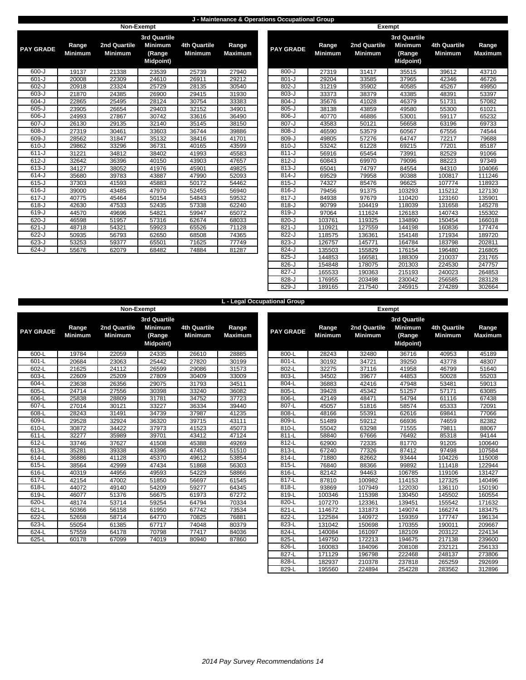### **J - Maintenance & Operations Occupational Group**

| <b>3rd Quartile</b><br><b>Minimum</b><br>2nd Quartile<br><b>4th Quartile</b><br>Range<br>2nd Quartile<br>Range<br>Range<br><b>PAY GRADE</b><br><b>PAY GRADE</b><br><b>Minimum</b><br><b>Minimum</b><br><b>Minimum</b><br><b>Minimum</b><br><b>Maximum</b><br><b>Minimum</b><br>(Range<br><b>Midpoint)</b><br>$800 - J$<br>$600 - J$<br>19137<br>23539<br>25739<br>27940<br>27319<br>21338<br>31417<br>$601 - J$<br>$801 - J$<br>20008<br>22309<br>24610<br>26911<br>29212<br>29204<br>33585<br>$602-J$<br>$802-J$<br>23324<br>25729<br>20918<br>28135<br>30540<br>31219<br>35902<br>$603 - J$<br>$803 - J$<br>31930<br>21870<br>24385<br>26900<br>29415<br>33373<br>38379<br>$604 - J$<br>$804 - J$<br>22865<br>25495<br>28124<br>30754<br>33383<br>41028<br>35676<br>$605 - J$<br>$805 - J$<br>23905<br>32152<br>34901<br>38138<br>26654<br>29403<br>43859<br>$606 - J$<br>$806 - J$<br>27867<br>36490<br>24993<br>30742<br>33616<br>40770<br>46886<br>607-J<br>$807 - J$<br>26130<br>29135<br>32140<br>35145<br>38150<br>50121<br>43583<br>$608 - J$<br>$808 - J$<br>27319<br>36744<br>30461<br>33603<br>39886<br>46590<br>53579<br>609-J<br>28562<br>41701<br>809-J<br>57276<br>31847<br>35132<br>38416<br>49805<br>$610 - J$<br>36731<br>40165<br>43599<br>$810 - J$<br>53242<br>61228<br>29862<br>33296<br>34812<br>$611 - J$<br>31221<br>45583<br>$811 - J$<br>56916<br>65454<br>38402<br>41993<br>$612-J$<br>$812-J$<br>32642<br>36396<br>40150<br>43903<br>47657<br>60843<br>69970<br>$613 - J$<br>34127<br>38052<br>41976<br>45901<br>49825<br>$813 - J$<br>65041<br>74797<br>$614 - J$<br>35680<br>39783<br>43887<br>47990<br>52093<br>$814 - J$<br>69529<br>79958<br>$615 - J$<br>$815 - J$<br>37303<br>41593<br>45883<br>50172<br>54462<br>74327<br>85476<br>$616 - J$<br>$816 - J$<br>39000<br>43485<br>47970<br>52455<br>56940<br>79456<br>91375<br>$617 - J$<br>$817 - J$<br>40775<br>45464<br>54843<br>59532<br>50154<br>84938<br>97679<br>$618 - J$<br>$818-J$<br>52435<br>42630<br>47533<br>57338<br>62240<br>90799<br>104419<br>$619-J$<br>$819 - J$<br>44570<br>49696<br>54821<br>59947<br>65072<br>97064<br>111624<br>$820 - J$<br>$620 - J$<br>51957<br>119325<br>46598<br>57316<br>62674<br>68033<br>103761<br>$621 - J$<br>$821 - J$<br>48718<br>54321<br>59923<br>65526<br>71128<br>110921<br>127559<br>822-J<br>$622 - J$<br>50935<br>56793<br>62650<br>68508<br>74365<br>136361<br>118575<br>$623 - J$<br>823-J<br>53253<br>59377<br>65501<br>71625<br>126757<br>145771<br>77749<br>$624 - J$<br>$824 - J$<br>55676<br>62079<br>68482<br>74884<br>81287<br>135503<br>155829 |  | Non-Exempt |  |  |  | <b>Exempt</b> |                           |
|--------------------------------------------------------------------------------------------------------------------------------------------------------------------------------------------------------------------------------------------------------------------------------------------------------------------------------------------------------------------------------------------------------------------------------------------------------------------------------------------------------------------------------------------------------------------------------------------------------------------------------------------------------------------------------------------------------------------------------------------------------------------------------------------------------------------------------------------------------------------------------------------------------------------------------------------------------------------------------------------------------------------------------------------------------------------------------------------------------------------------------------------------------------------------------------------------------------------------------------------------------------------------------------------------------------------------------------------------------------------------------------------------------------------------------------------------------------------------------------------------------------------------------------------------------------------------------------------------------------------------------------------------------------------------------------------------------------------------------------------------------------------------------------------------------------------------------------------------------------------------------------------------------------------------------------------------------------------------------------------------------------------------------------------------------------------------------------------------------------------------------------------------------------------------------------------------------------------------------------------------------------------------------------------------------------------------------------------------------------------------------------------------------------------------------------------------------------------------------------------------------------------------------------------------------------------------------------------------------|--|------------|--|--|--|---------------|---------------------------|
|                                                                                                                                                                                                                                                                                                                                                                                                                                                                                                                                                                                                                                                                                                                                                                                                                                                                                                                                                                                                                                                                                                                                                                                                                                                                                                                                                                                                                                                                                                                                                                                                                                                                                                                                                                                                                                                                                                                                                                                                                                                                                                                                                                                                                                                                                                                                                                                                                                                                                                                                                                                                        |  |            |  |  |  |               | 3r <sub>c</sub><br>M<br>Μ |
|                                                                                                                                                                                                                                                                                                                                                                                                                                                                                                                                                                                                                                                                                                                                                                                                                                                                                                                                                                                                                                                                                                                                                                                                                                                                                                                                                                                                                                                                                                                                                                                                                                                                                                                                                                                                                                                                                                                                                                                                                                                                                                                                                                                                                                                                                                                                                                                                                                                                                                                                                                                                        |  |            |  |  |  |               |                           |
|                                                                                                                                                                                                                                                                                                                                                                                                                                                                                                                                                                                                                                                                                                                                                                                                                                                                                                                                                                                                                                                                                                                                                                                                                                                                                                                                                                                                                                                                                                                                                                                                                                                                                                                                                                                                                                                                                                                                                                                                                                                                                                                                                                                                                                                                                                                                                                                                                                                                                                                                                                                                        |  |            |  |  |  |               |                           |
|                                                                                                                                                                                                                                                                                                                                                                                                                                                                                                                                                                                                                                                                                                                                                                                                                                                                                                                                                                                                                                                                                                                                                                                                                                                                                                                                                                                                                                                                                                                                                                                                                                                                                                                                                                                                                                                                                                                                                                                                                                                                                                                                                                                                                                                                                                                                                                                                                                                                                                                                                                                                        |  |            |  |  |  |               |                           |
|                                                                                                                                                                                                                                                                                                                                                                                                                                                                                                                                                                                                                                                                                                                                                                                                                                                                                                                                                                                                                                                                                                                                                                                                                                                                                                                                                                                                                                                                                                                                                                                                                                                                                                                                                                                                                                                                                                                                                                                                                                                                                                                                                                                                                                                                                                                                                                                                                                                                                                                                                                                                        |  |            |  |  |  |               |                           |
|                                                                                                                                                                                                                                                                                                                                                                                                                                                                                                                                                                                                                                                                                                                                                                                                                                                                                                                                                                                                                                                                                                                                                                                                                                                                                                                                                                                                                                                                                                                                                                                                                                                                                                                                                                                                                                                                                                                                                                                                                                                                                                                                                                                                                                                                                                                                                                                                                                                                                                                                                                                                        |  |            |  |  |  |               |                           |
|                                                                                                                                                                                                                                                                                                                                                                                                                                                                                                                                                                                                                                                                                                                                                                                                                                                                                                                                                                                                                                                                                                                                                                                                                                                                                                                                                                                                                                                                                                                                                                                                                                                                                                                                                                                                                                                                                                                                                                                                                                                                                                                                                                                                                                                                                                                                                                                                                                                                                                                                                                                                        |  |            |  |  |  |               |                           |
|                                                                                                                                                                                                                                                                                                                                                                                                                                                                                                                                                                                                                                                                                                                                                                                                                                                                                                                                                                                                                                                                                                                                                                                                                                                                                                                                                                                                                                                                                                                                                                                                                                                                                                                                                                                                                                                                                                                                                                                                                                                                                                                                                                                                                                                                                                                                                                                                                                                                                                                                                                                                        |  |            |  |  |  |               |                           |
|                                                                                                                                                                                                                                                                                                                                                                                                                                                                                                                                                                                                                                                                                                                                                                                                                                                                                                                                                                                                                                                                                                                                                                                                                                                                                                                                                                                                                                                                                                                                                                                                                                                                                                                                                                                                                                                                                                                                                                                                                                                                                                                                                                                                                                                                                                                                                                                                                                                                                                                                                                                                        |  |            |  |  |  |               |                           |
|                                                                                                                                                                                                                                                                                                                                                                                                                                                                                                                                                                                                                                                                                                                                                                                                                                                                                                                                                                                                                                                                                                                                                                                                                                                                                                                                                                                                                                                                                                                                                                                                                                                                                                                                                                                                                                                                                                                                                                                                                                                                                                                                                                                                                                                                                                                                                                                                                                                                                                                                                                                                        |  |            |  |  |  |               |                           |
|                                                                                                                                                                                                                                                                                                                                                                                                                                                                                                                                                                                                                                                                                                                                                                                                                                                                                                                                                                                                                                                                                                                                                                                                                                                                                                                                                                                                                                                                                                                                                                                                                                                                                                                                                                                                                                                                                                                                                                                                                                                                                                                                                                                                                                                                                                                                                                                                                                                                                                                                                                                                        |  |            |  |  |  |               |                           |
|                                                                                                                                                                                                                                                                                                                                                                                                                                                                                                                                                                                                                                                                                                                                                                                                                                                                                                                                                                                                                                                                                                                                                                                                                                                                                                                                                                                                                                                                                                                                                                                                                                                                                                                                                                                                                                                                                                                                                                                                                                                                                                                                                                                                                                                                                                                                                                                                                                                                                                                                                                                                        |  |            |  |  |  |               |                           |
|                                                                                                                                                                                                                                                                                                                                                                                                                                                                                                                                                                                                                                                                                                                                                                                                                                                                                                                                                                                                                                                                                                                                                                                                                                                                                                                                                                                                                                                                                                                                                                                                                                                                                                                                                                                                                                                                                                                                                                                                                                                                                                                                                                                                                                                                                                                                                                                                                                                                                                                                                                                                        |  |            |  |  |  |               |                           |
|                                                                                                                                                                                                                                                                                                                                                                                                                                                                                                                                                                                                                                                                                                                                                                                                                                                                                                                                                                                                                                                                                                                                                                                                                                                                                                                                                                                                                                                                                                                                                                                                                                                                                                                                                                                                                                                                                                                                                                                                                                                                                                                                                                                                                                                                                                                                                                                                                                                                                                                                                                                                        |  |            |  |  |  |               |                           |
|                                                                                                                                                                                                                                                                                                                                                                                                                                                                                                                                                                                                                                                                                                                                                                                                                                                                                                                                                                                                                                                                                                                                                                                                                                                                                                                                                                                                                                                                                                                                                                                                                                                                                                                                                                                                                                                                                                                                                                                                                                                                                                                                                                                                                                                                                                                                                                                                                                                                                                                                                                                                        |  |            |  |  |  |               |                           |
|                                                                                                                                                                                                                                                                                                                                                                                                                                                                                                                                                                                                                                                                                                                                                                                                                                                                                                                                                                                                                                                                                                                                                                                                                                                                                                                                                                                                                                                                                                                                                                                                                                                                                                                                                                                                                                                                                                                                                                                                                                                                                                                                                                                                                                                                                                                                                                                                                                                                                                                                                                                                        |  |            |  |  |  |               |                           |
|                                                                                                                                                                                                                                                                                                                                                                                                                                                                                                                                                                                                                                                                                                                                                                                                                                                                                                                                                                                                                                                                                                                                                                                                                                                                                                                                                                                                                                                                                                                                                                                                                                                                                                                                                                                                                                                                                                                                                                                                                                                                                                                                                                                                                                                                                                                                                                                                                                                                                                                                                                                                        |  |            |  |  |  |               |                           |
|                                                                                                                                                                                                                                                                                                                                                                                                                                                                                                                                                                                                                                                                                                                                                                                                                                                                                                                                                                                                                                                                                                                                                                                                                                                                                                                                                                                                                                                                                                                                                                                                                                                                                                                                                                                                                                                                                                                                                                                                                                                                                                                                                                                                                                                                                                                                                                                                                                                                                                                                                                                                        |  |            |  |  |  |               |                           |
|                                                                                                                                                                                                                                                                                                                                                                                                                                                                                                                                                                                                                                                                                                                                                                                                                                                                                                                                                                                                                                                                                                                                                                                                                                                                                                                                                                                                                                                                                                                                                                                                                                                                                                                                                                                                                                                                                                                                                                                                                                                                                                                                                                                                                                                                                                                                                                                                                                                                                                                                                                                                        |  |            |  |  |  |               |                           |
|                                                                                                                                                                                                                                                                                                                                                                                                                                                                                                                                                                                                                                                                                                                                                                                                                                                                                                                                                                                                                                                                                                                                                                                                                                                                                                                                                                                                                                                                                                                                                                                                                                                                                                                                                                                                                                                                                                                                                                                                                                                                                                                                                                                                                                                                                                                                                                                                                                                                                                                                                                                                        |  |            |  |  |  |               |                           |
|                                                                                                                                                                                                                                                                                                                                                                                                                                                                                                                                                                                                                                                                                                                                                                                                                                                                                                                                                                                                                                                                                                                                                                                                                                                                                                                                                                                                                                                                                                                                                                                                                                                                                                                                                                                                                                                                                                                                                                                                                                                                                                                                                                                                                                                                                                                                                                                                                                                                                                                                                                                                        |  |            |  |  |  |               |                           |
|                                                                                                                                                                                                                                                                                                                                                                                                                                                                                                                                                                                                                                                                                                                                                                                                                                                                                                                                                                                                                                                                                                                                                                                                                                                                                                                                                                                                                                                                                                                                                                                                                                                                                                                                                                                                                                                                                                                                                                                                                                                                                                                                                                                                                                                                                                                                                                                                                                                                                                                                                                                                        |  |            |  |  |  |               |                           |
|                                                                                                                                                                                                                                                                                                                                                                                                                                                                                                                                                                                                                                                                                                                                                                                                                                                                                                                                                                                                                                                                                                                                                                                                                                                                                                                                                                                                                                                                                                                                                                                                                                                                                                                                                                                                                                                                                                                                                                                                                                                                                                                                                                                                                                                                                                                                                                                                                                                                                                                                                                                                        |  |            |  |  |  |               |                           |
|                                                                                                                                                                                                                                                                                                                                                                                                                                                                                                                                                                                                                                                                                                                                                                                                                                                                                                                                                                                                                                                                                                                                                                                                                                                                                                                                                                                                                                                                                                                                                                                                                                                                                                                                                                                                                                                                                                                                                                                                                                                                                                                                                                                                                                                                                                                                                                                                                                                                                                                                                                                                        |  |            |  |  |  |               |                           |
|                                                                                                                                                                                                                                                                                                                                                                                                                                                                                                                                                                                                                                                                                                                                                                                                                                                                                                                                                                                                                                                                                                                                                                                                                                                                                                                                                                                                                                                                                                                                                                                                                                                                                                                                                                                                                                                                                                                                                                                                                                                                                                                                                                                                                                                                                                                                                                                                                                                                                                                                                                                                        |  |            |  |  |  |               |                           |
|                                                                                                                                                                                                                                                                                                                                                                                                                                                                                                                                                                                                                                                                                                                                                                                                                                                                                                                                                                                                                                                                                                                                                                                                                                                                                                                                                                                                                                                                                                                                                                                                                                                                                                                                                                                                                                                                                                                                                                                                                                                                                                                                                                                                                                                                                                                                                                                                                                                                                                                                                                                                        |  |            |  |  |  |               |                           |

| <b>GRADE</b> | Range<br>Minimum | 2nd Quartile<br><b>Minimum</b> | 3rd Quartile<br><b>Minimum</b><br>(Range<br><b>Midpoint</b> ) | <b>4th Quartile</b><br><b>Minimum</b> | Range<br><b>Maximum</b> | <b>PAY GRADE</b> | Range<br><b>Minimum</b> | <b>2nd Quartile</b><br><b>Minimum</b> | 3rd Quartile<br><b>Minimum</b><br>(Range<br><b>Midpoint)</b> | <b>4th Quartile</b><br><b>Minimum</b> | Range<br><b>Maximum</b> |
|--------------|------------------|--------------------------------|---------------------------------------------------------------|---------------------------------------|-------------------------|------------------|-------------------------|---------------------------------------|--------------------------------------------------------------|---------------------------------------|-------------------------|
| 600-J        | 19137            | 21338                          | 23539                                                         | 25739                                 | 27940                   | $800 - J$        | 27319                   | 31417                                 | 35515                                                        | 39612                                 | 43710                   |
| $601 - J$    | 20008            | 22309                          | 24610                                                         | 26911                                 | 29212                   | $801 - J$        | 29204                   | 33585                                 | 37965                                                        | 42346                                 | 46726                   |
| 602-J        | 20918            | 23324                          | 25729                                                         | 28135                                 | 30540                   | $802 - J$        | 31219                   | 35902                                 | 40585                                                        | 45267                                 | 49950                   |
| 603-J        | 21870            | 24385                          | 26900                                                         | 29415                                 | 31930                   | $803 - J$        | 33373                   | 38379                                 | 43385                                                        | 48391                                 | 53397                   |
| 604-J        | 22865            | 25495                          | 28124                                                         | 30754                                 | 33383                   | $804 - J$        | 35676                   | 41028                                 | 46379                                                        | 51731                                 | 57082                   |
| $605 - J$    | 23905            | 26654                          | 29403                                                         | 32152                                 | 34901                   | $805 - J$        | 38138                   | 43859                                 | 49580                                                        | 55300                                 | 61021                   |
| $606 - J$    | 24993            | 27867                          | 30742                                                         | 33616                                 | 36490                   | $806 - J$        | 40770                   | 46886                                 | 53001                                                        | 59117                                 | 65232                   |
| $607 - J$    | 26130            | 29135                          | 32140                                                         | 35145                                 | 38150                   | $807 - J$        | 43583                   | 50121                                 | 56658                                                        | 63196                                 | 69733                   |
| $608 - J$    | 27319            | 30461                          | 33603                                                         | 36744                                 | 39886                   | $808 - J$        | 46590                   | 53579                                 | 60567                                                        | 67556                                 | 74544                   |
| 609-J        | 28562            | 31847                          | 35132                                                         | 38416                                 | 41701                   | 809-J            | 49805                   | 57276                                 | 64747                                                        | 72217                                 | 79688                   |
| 610-J        | 29862            | 33296                          | 36731                                                         | 40165                                 | 43599                   | $810 - J$        | 53242                   | 61228                                 | 69215                                                        | 77201                                 | 85187                   |
| 611-J        | 31221            | 34812                          | 38402                                                         | 41993                                 | 45583                   | $811 - J$        | 56916                   | 65454                                 | 73991                                                        | 82529                                 | 91066                   |
| 612-J        | 32642            | 36396                          | 40150                                                         | 43903                                 | 47657                   | $812-J$          | 60843                   | 69970                                 | 79096                                                        | 88223                                 | 97349                   |
| 613-J        | 34127            | 38052                          | 41976                                                         | 45901                                 | 49825                   | $813-J$          | 65041                   | 74797                                 | 84554                                                        | 94310                                 | 104066                  |
| 614-J        | 35680            | 39783                          | 43887                                                         | 47990                                 | 52093                   | $814-J$          | 69529                   | 79958                                 | 90388                                                        | 100817                                | 111246                  |
| $615 - J$    | 37303            | 41593                          | 45883                                                         | 50172                                 | 54462                   | $815 - J$        | 74327                   | 85476                                 | 96625                                                        | 107774                                | 118923                  |
| 616-J        | 39000            | 43485                          | 47970                                                         | 52455                                 | 56940                   | $816 - J$        | 79456                   | 91375                                 | 103293                                                       | 115212                                | 127130                  |
| $617 - J$    | 40775            | 45464                          | 50154                                                         | 54843                                 | 59532                   | $817 - J$        | 84938                   | 97679                                 | 110420                                                       | 123160                                | 135901                  |
| 618-J        | 42630            | 47533                          | 52435                                                         | 57338                                 | 62240                   | $818-J$          | 90799                   | 104419                                | 118039                                                       | 131658                                | 145278                  |
| $619 - J$    | 44570            | 49696                          | 54821                                                         | 59947                                 | 65072                   | $819-J$          | 97064                   | 111624                                | 126183                                                       | 140743                                | 155302                  |
| $620 - J$    | 46598            | 51957                          | 57316                                                         | 62674                                 | 68033                   | $820 - J$        | 103761                  | 119325                                | 134890                                                       | 150454                                | 166018                  |
| 621-J        | 48718            | 54321                          | 59923                                                         | 65526                                 | 71128                   | $821 - J$        | 110921                  | 127559                                | 144198                                                       | 160836                                | 177474                  |
| $622 - J$    | 50935            | 56793                          | 62650                                                         | 68508                                 | 74365                   | 822-J            | 118575                  | 136361                                | 154148                                                       | 171934                                | 189720                  |
| $623 - J$    | 53253            | 59377                          | 65501                                                         | 71625                                 | 77749                   | 823-J            | 126757                  | 145771                                | 164784                                                       | 183798                                | 202811                  |
| 624-J        | 55676            | 62079                          | 68482                                                         | 74884                                 | 81287                   | $824 - J$        | 135503                  | 155829                                | 176154                                                       | 196480                                | 216805                  |
|              |                  |                                |                                                               |                                       |                         | $825 - J$        | 144853                  | 166581                                | 188309                                                       | 210037                                | 231765                  |
|              |                  |                                |                                                               |                                       |                         | $826 - J$        | 154848                  | 178075                                | 201303                                                       | 224530                                | 247757                  |
|              |                  |                                |                                                               |                                       |                         | 827-J            | 165533                  | 190363                                | 215193                                                       | 240023                                | 264853                  |
|              |                  |                                |                                                               |                                       |                         | 828-J            | 176955                  | 203498                                | 230042                                                       | 256585                                | 283128                  |
|              |                  |                                |                                                               |                                       |                         | 829-J            | 189165                  | 217540                                | 245915                                                       | 274289                                | 302664                  |

|                  |                         | Non-Exempt                     |                                                                     |                                |                         | L - Legar Occupational Group |                         | <b>Exempt</b>                  |
|------------------|-------------------------|--------------------------------|---------------------------------------------------------------------|--------------------------------|-------------------------|------------------------------|-------------------------|--------------------------------|
| <b>PAY GRADE</b> | Range<br><b>Minimum</b> | 2nd Quartile<br><b>Minimum</b> | <b>3rd Quartile</b><br><b>Minimum</b><br>(Range<br><b>Midpoint)</b> | 4th Quartile<br><b>Minimum</b> | Range<br><b>Maximum</b> | <b>PAY GRADE</b>             | Range<br><b>Minimum</b> | 2nd Quartile<br><b>Minimum</b> |
| 600-L            | 19784                   | 22059                          | 24335                                                               | 26610                          | 28885                   | 800-L                        | 28243                   | 32480                          |
| 601-L            | 20684                   | 23063                          | 25442                                                               | 27820                          | 30199                   | 801-L                        | 30192                   | 34721                          |
| 602-L            | 21625                   | 24112                          | 26599                                                               | 29086                          | 31573                   | 802-L                        | 32275                   | 37116                          |
| 603-L            | 22609                   | 25209                          | 27809                                                               | 30409                          | 33009                   | 803-L                        | 34502                   | 39677                          |
| 604-L            | 23638                   | 26356                          | 29075                                                               | 31793                          | 34511                   | 804-L                        | 36883                   | 42416                          |
| 605-L            | 24714                   | 27556                          | 30398                                                               | 33240                          | 36082                   | 805-L                        | 39428                   | 45342                          |
| 606-L            | 25838                   | 28809                          | 31781                                                               | 34752                          | 37723                   | 806-L                        | 42149                   | 48471                          |
| 607-L            | 27014                   | 30121                          | 33227                                                               | 36334                          | 39440                   | 807-L                        | 45057                   | 51816                          |
| 608-L            | 28243                   | 31491                          | 34739                                                               | 37987                          | 41235                   | 808-L                        | 48166                   | 55391                          |
| 609-L            | 29528                   | 32924                          | 36320                                                               | 39715                          | 43111                   | 809-L                        | 51489                   | 59212                          |
| 610-L            | 30872                   | 34422                          | 37973                                                               | 41523                          | 45073                   | 810-L                        | 55042                   | 63298                          |
| $611-L$          | 32277                   | 35989                          | 39701                                                               | 43412                          | 47124                   | 811-L                        | 58840                   | 67666                          |
| 612-L            | 33746                   | 37627                          | 41508                                                               | 45388                          | 49269                   | 812-L                        | 62900                   | 72335                          |
| 613-L            | 35281                   | 39338                          | 43396                                                               | 47453                          | 51510                   | 813-L                        | 67240                   | 77326                          |
| 614-L            | 36886                   | 41128                          | 45370                                                               | 49612                          | 53854                   | 814-L                        | 71880                   | 82662                          |
| 615-L            | 38564                   | 42999                          | 47434                                                               | 51868                          | 56303                   | 815-L                        | 76840                   | 88366                          |
| 616-L            | 40319                   | 44956                          | 49593                                                               | 54229                          | 58866                   | 816-L                        | 82142                   | 94463                          |
| 617-L            | 42154                   | 47002                          | 51850                                                               | 56697                          | 61545                   | 817-L                        | 87810                   | 100982                         |
| 618-L            | 44072                   | 49140                          | 54209                                                               | 59277                          | 64345                   | 818-L                        | 93869                   | 107949                         |
| 619-L            | 46077                   | 51376                          | 56675                                                               | 61973                          | 67272                   | 819-L                        | 100346                  | 115398                         |
| 620-L            | 48174                   | 53714                          | 59254                                                               | 64794                          | 70334                   | 820-L                        | 107270                  | 123361                         |
| $621-L$          | 50366                   | 56158                          | 61950                                                               | 67742                          | 73534                   | 821-L                        | 114672                  | 131873                         |
| 622-L            | 52658                   | 58714                          | 64770                                                               | 70825                          | 76881                   | 822-L                        | 122584                  | 140972                         |
| 623-L            | 55054                   | 61385                          | 67717                                                               | 74048                          | 80379                   | 823-L                        | 131042                  | 150698                         |
| 624-L            | 57559                   | 64178                          | 70798                                                               | 77417                          | 84036                   | 824-L                        | 140084                  | 161097                         |
| 625-L            | 60178                   | 67099                          | 74019                                                               | 80940                          | 87860                   | 825-L                        | 149750                  | 172213                         |

|              |                         |                                |                                               |                                       |                         | L - Legal Occupational Group |                         |                                |                                               |                                       |                         |
|--------------|-------------------------|--------------------------------|-----------------------------------------------|---------------------------------------|-------------------------|------------------------------|-------------------------|--------------------------------|-----------------------------------------------|---------------------------------------|-------------------------|
|              |                         | Non-Exempt                     |                                               |                                       |                         |                              |                         | <b>Exempt</b>                  |                                               |                                       |                         |
|              |                         |                                | <b>3rd Quartile</b>                           |                                       |                         |                              |                         |                                | <b>3rd Quartile</b>                           |                                       |                         |
| <b>GRADE</b> | Range<br><b>Minimum</b> | 2nd Quartile<br><b>Minimum</b> | <b>Minimum</b><br>(Range<br><b>Midpoint</b> ) | <b>4th Quartile</b><br><b>Minimum</b> | Range<br><b>Maximum</b> | <b>PAY GRADE</b>             | Range<br><b>Minimum</b> | 2nd Quartile<br><b>Minimum</b> | <b>Minimum</b><br>(Range<br><b>Midpoint</b> ) | <b>4th Quartile</b><br><b>Minimum</b> | Range<br><b>Maximum</b> |
| 600-L        | 19784                   | 22059                          | 24335                                         | 26610                                 | 28885                   | 800-L                        | 28243                   | 32480                          | 36716                                         | 40953                                 | 45189                   |
| 601-L        | 20684                   | 23063                          | 25442                                         | 27820                                 | 30199                   | 801-L                        | 30192                   | 34721                          | 39250                                         | 43778                                 | 48307                   |
| 602-L        | 21625                   | 24112                          | 26599                                         | 29086                                 | 31573                   | 802-L                        | 32275                   | 37116                          | 41958                                         | 46799                                 | 51640                   |
| 603-L        | 22609                   | 25209                          | 27809                                         | 30409                                 | 33009                   | 803-L                        | 34502                   | 39677                          | 44853                                         | 50028                                 | 55203                   |
| 604-L        | 23638                   | 26356                          | 29075                                         | 31793                                 | 34511                   | 804-L                        | 36883                   | 42416                          | 47948                                         | 53481                                 | 59013                   |
| 605-L        | 24714                   | 27556                          | 30398                                         | 33240                                 | 36082                   | 805-L                        | 39428                   | 45342                          | 51257                                         | 57171                                 | 63085                   |
| 606-L        | 25838                   | 28809                          | 31781                                         | 34752                                 | 37723                   | 806-L                        | 42149                   | 48471                          | 54794                                         | 61116                                 | 67438                   |
| $607-L$      | 27014                   | 30121                          | 33227                                         | 36334                                 | 39440                   | 807-L                        | 45057                   | 51816                          | 58574                                         | 65333                                 | 72091                   |
| $608-L$      | 28243                   | 31491                          | 34739                                         | 37987                                 | 41235                   | 808-L                        | 48166                   | 55391                          | 62616                                         | 69841                                 | 77066                   |
| $609-L$      | 29528                   | 32924                          | 36320                                         | 39715                                 | 43111                   | 809-L                        | 51489                   | 59212                          | 66936                                         | 74659                                 | 82382                   |
| $610-L$      | 30872                   | 34422                          | 37973                                         | 41523                                 | 45073                   | 810-L                        | 55042                   | 63298                          | 71555                                         | 79811                                 | 88067                   |
| 611-L        | 32277                   | 35989                          | 39701                                         | 43412                                 | 47124                   | 811-L                        | 58840                   | 67666                          | 76492                                         | 85318                                 | 94144                   |
| 612-L        | 33746                   | 37627                          | 41508                                         | 45388                                 | 49269                   | 812-L                        | 62900                   | 72335                          | 81770                                         | 91205                                 | 100640                  |
| $613-L$      | 35281                   | 39338                          | 43396                                         | 47453                                 | 51510                   | $813-L$                      | 67240                   | 77326                          | 87412                                         | 97498                                 | 107584                  |
| $614-L$      | 36886                   | 41128                          | 45370                                         | 49612                                 | 53854                   | 814-L                        | 71880                   | 82662                          | 93444                                         | 104226                                | 115008                  |
| $615-L$      | 38564                   | 42999                          | 47434                                         | 51868                                 | 56303                   | $815-L$                      | 76840                   | 88366                          | 99892                                         | 111418                                | 122944                  |
| 616-L        | 40319                   | 44956                          | 49593                                         | 54229                                 | 58866                   | 816-L                        | 82142                   | 94463                          | 106785                                        | 119106                                | 131427                  |
| 617-L        | 42154                   | 47002                          | 51850                                         | 56697                                 | 61545                   | 817-L                        | 87810                   | 100982                         | 114153                                        | 127325                                | 140496                  |
| 618-L        | 44072                   | 49140                          | 54209                                         | 59277                                 | 64345                   | 818-L                        | 93869                   | 107949                         | 122030                                        | 136110                                | 150190                  |
| $619-L$      | 46077                   | 51376                          | 56675                                         | 61973                                 | 67272                   | 819-L                        | 100346                  | 115398                         | 130450                                        | 145502                                | 160554                  |
| $620 - L$    | 48174                   | 53714                          | 59254                                         | 64794                                 | 70334                   | 820-L                        | 107270                  | 123361                         | 139451                                        | 155542                                | 171632                  |
| $621 - L$    | 50366                   | 56158                          | 61950                                         | 67742                                 | 73534                   | $821 - L$                    | 114672                  | 131873                         | 149074                                        | 166274                                | 183475                  |
| $622 - L$    | 52658                   | 58714                          | 64770                                         | 70825                                 | 76881                   | 822-L                        | 122584                  | 140972                         | 159359                                        | 177747                                | 196134                  |
| 623-L        | 55054                   | 61385                          | 67717                                         | 74048                                 | 80379                   | 823-L                        | 131042                  | 150698                         | 170355                                        | 190011                                | 209667                  |
| $624 - L$    | 57559                   | 64178                          | 70798                                         | 77417                                 | 84036                   | 824-L                        | 140084                  | 161097                         | 182109                                        | 203122                                | 224134                  |
| $625-L$      | 60178                   | 67099                          | 74019                                         | 80940                                 | 87860                   | 825-L                        | 149750                  | 172213                         | 194675                                        | 217138                                | 239600                  |
|              |                         |                                |                                               |                                       |                         | 826-L                        | 160083                  | 184096                         | 208108                                        | 232121                                | 256133                  |
|              |                         |                                |                                               |                                       |                         | 827-L                        | 171129                  | 196798                         | 222468                                        | 248137                                | 273806                  |
|              |                         |                                |                                               |                                       |                         | 828-L                        | 182937                  | 210378                         | 237818                                        | 265259                                | 292699                  |
|              |                         |                                |                                               |                                       |                         | 829-L                        | 195560                  | 224894                         | 254228                                        | 283562                                | 312896                  |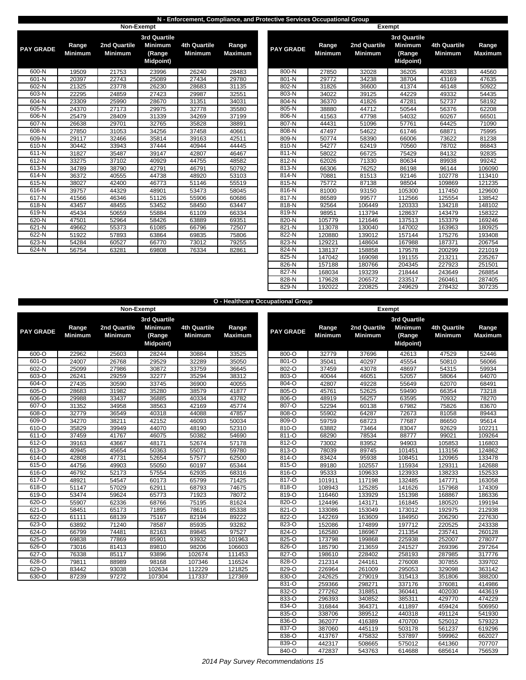#### **N - Enforcement, Compliance, and Protective Services Occupational Group**

|                  |                         |                                | Non-Exempt                                                          |                                       |                         |                  |                         | <b>Exempt</b>                  |                           |
|------------------|-------------------------|--------------------------------|---------------------------------------------------------------------|---------------------------------------|-------------------------|------------------|-------------------------|--------------------------------|---------------------------|
| <b>PAY GRADE</b> | Range<br><b>Minimum</b> | 2nd Quartile<br><b>Minimum</b> | <b>3rd Quartile</b><br><b>Minimum</b><br>(Range<br><b>Midpoint)</b> | <b>4th Quartile</b><br><b>Minimum</b> | Range<br><b>Maximum</b> | <b>PAY GRADE</b> | Range<br><b>Minimum</b> | 2nd Quartile<br><b>Minimum</b> | 3r <sub>c</sub><br>M<br>M |
| 600-N            | 19509                   | 21753                          | 23996                                                               | 26240                                 | 28483                   | 800-N            | 27850                   | 32028                          |                           |
| 601-N            | 20397                   | 22743                          | 25089                                                               | 27434                                 | 29780                   | 801-N            | 29772                   | 34238                          |                           |
| 602-N            | 21325                   | 23778                          | 26230                                                               | 28683                                 | 31135                   | 802-N            | 31826                   | 36600                          |                           |
| 603-N            | 22295                   | 24859                          | 27423                                                               | 29987                                 | 32551                   | 803-N            | 34022                   | 39125                          |                           |
| 604-N            | 23309                   | 25990                          | 28670                                                               | 31351                                 | 34031                   | 804-N            | 36370                   | 41826                          |                           |
| 605-N            | 24370                   | 27173                          | 29975                                                               | 32778                                 | 35580                   | 805-N            | 38880                   | 44712                          |                           |
| 606-N            | 25479                   | 28409                          | 31339                                                               | 34269                                 | 37199                   | 806-N            | 41563                   | 47798                          |                           |
| 607-N            | 26638                   | 29701                          | 32765                                                               | 35828                                 | 38891                   | 807-N            | 44431                   | 51096                          |                           |
| 608-N            | 27850                   | 31053                          | 34256                                                               | 37458                                 | 40661                   | 808-N            | 47497                   | 54622                          |                           |
| 609-N            | 29117                   | 32466                          | 35814                                                               | 39163                                 | 42511                   | 809-N            | 50774                   | 58390                          |                           |
| 610-N            | 30442                   | 33943                          | 37444                                                               | 40944                                 | 44445                   | 810-N            | 54277                   | 62419                          |                           |
| 611-N            | 31827                   | 35487                          | 39147                                                               | 42807                                 | 46467                   | 811-N            | 58022                   | 66725                          |                           |
| 612-N            | 33275                   | 37102                          | 40929                                                               | 44755                                 | 48582                   | 812-N            | 62026                   | 71330                          |                           |
| 613-N            | 34789                   | 38790                          | 42791                                                               | 46791                                 | 50792                   | 813-N            | 66306                   | 76252                          |                           |
| 614-N            | 36372                   | 40555                          | 44738                                                               | 48920                                 | 53103                   | 814-N            | 70881                   | 81513                          |                           |
| 615-N            | 38027                   | 42400                          | 46773                                                               | 51146                                 | 55519                   | 815-N            | 75772                   | 87138                          |                           |
| 616-N            | 39757                   | 44329                          | 48901                                                               | 53473                                 | 58045                   | 816-N            | 81000                   | 93150                          |                           |
| 617-N            | 41566                   | 46346                          | 51126                                                               | 55906                                 | 60686                   | 817-N            | 86589                   | 99577                          |                           |
| 618-N            | 43457                   | 48455                          | 53452                                                               | 58450                                 | 63447                   | 818-N            | 92564                   | 106449                         |                           |
| 619-N            | 45434                   | 50659                          | 55884                                                               | 61109                                 | 66334                   | 819-N            | 98951                   | 113794                         |                           |
| 620-N            | 47501                   | 52964                          | 58426                                                               | 63889                                 | 69351                   | 820-N            | 105779                  | 121646                         |                           |
| 621-N            | 49662                   | 55373                          | 61085                                                               | 66796                                 | 72507                   | 821-N            | 113078                  | 130040                         |                           |
| 622-N            | 51922                   | 57893                          | 63864                                                               | 69835                                 | 75806                   | 822-N            | 120880                  | 139012                         |                           |
| 623-N            | 54284                   | 60527                          | 66770                                                               | 73012                                 | 79255                   | 823-N            | 129221                  | 148604                         |                           |
| 624-N            | 56754                   | 63281                          | 69808                                                               | 76334                                 | 82861                   | 824-N            | 138137                  | 158858                         |                           |
|                  |                         |                                |                                                                     |                                       |                         |                  |                         |                                |                           |

| <b>GRADE</b> | Range<br><b>Minimum</b> | 2nd Quartile<br><b>Minimum</b> | <b>3rd Quartile</b><br><b>Minimum</b><br>(Range<br><b>Midpoint)</b> | <b>4th Quartile</b><br><b>Minimum</b> | Range<br><b>Maximum</b> | <b>PAY GRADE</b> | Range<br><b>Minimum</b> | 2nd Quartile<br><b>Minimum</b> | <b>3rd Quartile</b><br><b>Minimum</b><br>(Range<br><b>Midpoint)</b> | <b>4th Quartile</b><br><b>Minimum</b> | Range<br><b>Maximum</b> |
|--------------|-------------------------|--------------------------------|---------------------------------------------------------------------|---------------------------------------|-------------------------|------------------|-------------------------|--------------------------------|---------------------------------------------------------------------|---------------------------------------|-------------------------|
| 600-N        | 19509                   | 21753                          | 23996                                                               | 26240                                 | 28483                   | 800-N            | 27850                   | 32028                          | 36205                                                               | 40383                                 | 44560                   |
| 601-N        | 20397                   | 22743                          | 25089                                                               | 27434                                 | 29780                   | 801-N            | 29772                   | 34238                          | 38704                                                               | 43169                                 | 47635                   |
| 602-N        | 21325                   | 23778                          | 26230                                                               | 28683                                 | 31135                   | 802-N            | 31826                   | 36600                          | 41374                                                               | 46148                                 | 50922                   |
| 603-N        | 22295                   | 24859                          | 27423                                                               | 29987                                 | 32551                   | 803-N            | 34022                   | 39125                          | 44229                                                               | 49332                                 | 54435                   |
| 604-N        | 23309                   | 25990                          | 28670                                                               | 31351                                 | 34031                   | 804-N            | 36370                   | 41826                          | 47281                                                               | 52737                                 | 58192                   |
| 605-N        | 24370                   | 27173                          | 29975                                                               | 32778                                 | 35580                   | 805-N            | 38880                   | 44712                          | 50544                                                               | 56376                                 | 62208                   |
| 606-N        | 25479                   | 28409                          | 31339                                                               | 34269                                 | 37199                   | 806-N            | 41563                   | 47798                          | 54032                                                               | 60267                                 | 66501                   |
| 607-N        | 26638                   | 29701                          | 32765                                                               | 35828                                 | 38891                   | 807-N            | 44431                   | 51096                          | 57761                                                               | 64425                                 | 71090                   |
| 608-N        | 27850                   | 31053                          | 34256                                                               | 37458                                 | 40661                   | 808-N            | 47497                   | 54622                          | 61746                                                               | 68871                                 | 75995                   |
| 609-N        | 29117                   | 32466                          | 35814                                                               | 39163                                 | 42511                   | 809-N            | 50774                   | 58390                          | 66006                                                               | 73622                                 | 81238                   |
| 610-N        | 30442                   | 33943                          | 37444                                                               | 40944                                 | 44445                   | 810-N            | 54277                   | 62419                          | 70560                                                               | 78702                                 | 86843                   |
| 611-N        | 31827                   | 35487                          | 39147                                                               | 42807                                 | 46467                   | 811-N            | 58022                   | 66725                          | 75429                                                               | 84132                                 | 92835                   |
| 612-N        | 33275                   | 37102                          | 40929                                                               | 44755                                 | 48582                   | 812-N            | 62026                   | 71330                          | 80634                                                               | 89938                                 | 99242                   |
| $613-N$      | 34789                   | 38790                          | 42791                                                               | 46791                                 | 50792                   | 813-N            | 66306                   | 76252                          | 86198                                                               | 96144                                 | 106090                  |
| 614-N        | 36372                   | 40555                          | 44738                                                               | 48920                                 | 53103                   | 814-N            | 70881                   | 81513                          | 92146                                                               | 102778                                | 113410                  |
| 615-N        | 38027                   | 42400                          | 46773                                                               | 51146                                 | 55519                   | 815-N            | 75772                   | 87138                          | 98504                                                               | 109869                                | 121235                  |
| 616-N        | 39757                   | 44329                          | 48901                                                               | 53473                                 | 58045                   | 816-N            | 81000                   | 93150                          | 105300                                                              | 117450                                | 129600                  |
| $617-N$      | 41566                   | 46346                          | 51126                                                               | 55906                                 | 60686                   | 817-N            | 86589                   | 99577                          | 112566                                                              | 125554                                | 138542                  |
| 618-N        | 43457                   | 48455                          | 53452                                                               | 58450                                 | 63447                   | 818-N            | 92564                   | 106449                         | 120333                                                              | 134218                                | 148102                  |
| 619-N        | 45434                   | 50659                          | 55884                                                               | 61109                                 | 66334                   | 819-N            | 98951                   | 113794                         | 128637                                                              | 143479                                | 158322                  |
| 620-N        | 47501                   | 52964                          | 58426                                                               | 63889                                 | 69351                   | 820-N            | 105779                  | 121646                         | 137513                                                              | 153379                                | 169246                  |
| 621-N        | 49662                   | 55373                          | 61085                                                               | 66796                                 | 72507                   | 821-N            | 113078                  | 130040                         | 147002                                                              | 163963                                | 180925                  |
| 622-N        | 51922                   | 57893                          | 63864                                                               | 69835                                 | 75806                   | 822-N            | 120880                  | 139012                         | 157144                                                              | 175276                                | 193408                  |
| 623-N        | 54284                   | 60527                          | 66770                                                               | 73012                                 | 79255                   | 823-N            | 129221                  | 148604                         | 167988                                                              | 187371                                | 206754                  |
| 624-N        | 56754                   | 63281                          | 69808                                                               | 76334                                 | 82861                   | 824-N            | 138137                  | 158858                         | 179578                                                              | 200299                                | 221019                  |
|              |                         |                                |                                                                     |                                       |                         | 825-N            | 147042                  | 169098                         | 191155                                                              | 213211                                | 235267                  |
|              |                         |                                |                                                                     |                                       |                         | 826-N            | 157188                  | 180766                         | 204345                                                              | 227923                                | 251501                  |
|              |                         |                                |                                                                     |                                       |                         | 827-N            | 168034                  | 193239                         | 218444                                                              | 243649                                | 268854                  |
|              |                         |                                |                                                                     |                                       |                         | 828-N            | 179628                  | 206572                         | 233517                                                              | 260461                                | 287405                  |
|              |                         |                                |                                                                     |                                       |                         | 829-N            | 192022                  | 220825                         | 249629                                                              | 278432                                | 307235                  |

|                  |                |                |                     |                     |                | O - Healthcare Occupational Group |                |                     |     |
|------------------|----------------|----------------|---------------------|---------------------|----------------|-----------------------------------|----------------|---------------------|-----|
|                  |                |                | Non-Exempt          |                     |                |                                   |                | Exempt              |     |
|                  |                |                | <b>3rd Quartile</b> |                     |                |                                   |                |                     | 3rc |
| <b>PAY GRADE</b> | Range          | 2nd Quartile   | <b>Minimum</b>      | <b>4th Quartile</b> | Range          | <b>PAY GRADE</b>                  | Range          | <b>2nd Quartile</b> | M   |
|                  | <b>Minimum</b> | <b>Minimum</b> | (Range              | <b>Minimum</b>      | <b>Maximum</b> |                                   | <b>Minimum</b> | <b>Minimum</b>      |     |
|                  |                |                | <b>Midpoint)</b>    |                     |                |                                   |                |                     | м   |
| 600-O            | 22962          | 25603          | 28244               | 30884               | 33525          | 800-O                             | 32779          | 37696               |     |
| 601-O            | 24007          | 26768          | 29529               | 32289               | 35050          | 801-O                             | 35041          | 40297               |     |
| 602-O            | 25099          | 27986          | 30872               | 33759               | 36645          | 802-O                             | 37459          | 43078               |     |
| 603-O            | 26241          | 29259          | 32277               | 35294               | 38312          | 803-O                             | 40044          | 46051               |     |
| 604-O            | 27435          | 30590          | 33745               | 36900               | 40055          | 804-O                             | 42807          | 49228               |     |
| $605 - 0$        | 28683          | 31982          | 35280               | 38579               | 41877          | 805-O                             | 45761          | 52625               |     |
| 606-O            | 29988          | 33437          | 36885               | 40334               | 43782          | 806-O                             | 48919          | 56257               |     |
| 607-O            | 31352          | 34958          | 38563               | 42169               | 45774          | 807-O                             | 52294          | 60138               |     |
| 608-O            | 32779          | 36549          | 40318               | 44088               | 47857          | 808-O                             | 55902          | 64287               |     |
| 609-O            | 34270          | 38211          | 42152               | 46093               | 50034          | 809-O                             | 59759          | 68723               |     |
| 610-O            | 35829          | 39949          | 44070               | 48190               | 52310          | 810-O                             | 63882          | 73464               |     |
| $611 - 0$        | 37459          | 41767          | 46075               | 50382               | 54690          | $811 - 0$                         | 68290          | 78534               |     |
| $612 - 0$        | 39163          | 43667          | 48171               | 52674               | 57178          | $812 - 0$                         | 73002          | 83952               |     |
| 613-O            | 40945          | 45654          | 50363               | 55071               | 59780          | 813-O                             | 78039          | 89745               |     |
| 614-O            | 42808          | 47731          | 52654               | 57577               | 62500          | 814-O                             | 83424          | 95938               |     |
| 615-O            | 44756          | 49903          | 55050               | 60197               | 65344          | 815-O                             | 89180          | 102557              |     |
| 616-O            | 46792          | 52173          | 57554               | 62935               | 68316          | 816-O                             | 95333          | 109633              |     |
| 617-O            | 48921          | 54547          | 60173               | 65799               | 71425          | 817-O                             | 101911         | 117198              |     |
| 618-O            | 51147          | 57029          | 62911               | 68793               | 74675          | 818-O                             | 108943         | 125285              |     |
| 619-O            | 53474          | 59624          | 65773               | 71923               | 78072          | $819-o$                           | 116460         | 133929              |     |
| 620-O            | 55907          | 62336          | 68766               | 75195               | 81624          | 820-O                             | 124496         | 143171              |     |
| 621-O            | 58451          | 65173          | 71895               | 78616               | 85338          | 821-O                             | 133086         | 153049              |     |
| $622 - 0$        | 61111          | 68139          | 75167               | 82194               | 89222          | 822-O                             | 142269         | 163609              |     |
| 623-O            | 63892          | 71240          | 78587               | 85935               | 93282          | 823-O                             | 152086         | 174899              |     |
| 624-O            | 66799          | 74481          | 82163               | 89845               | 97527          | 824-O                             | 162580         | 186967              |     |
| 625-O            | 69838          | 77869          | 85901               | 93932               | 101963         | 825-O                             | 173798         | 199868              |     |
| 626-O            | 73016          | 81413          | 89810               | 98206               | 106603         | 826-O                             | 185790         | 213659              |     |
| $627 - 0$        | 76338          | 85117          | 93896               | 102674              | 111453         | 827-O                             | 198610         | 228402              |     |
| 628-O            | 79811          | 88989          | 98168               | 107346              | 116524         | 828-O                             | 212314         | 244161              |     |
| 629-O            | 83442          | 93038          | 102634              | 112229              | 121825         | 829-O                             | 226964         | 261009              |     |
| 630-O            | 87239          | 97272          | 107304              | 117337              | 127369         | 830-O                             | 242625         | 279019              |     |

| <b><i>(GRADE</i></b> | Range<br><b>Minimum</b> | 2nd Quartile<br>Minimum | <b>3rd Quartile</b><br><b>Minimum</b><br>(Range<br>Midpoint) | 4th Quartile<br><b>Minimum</b> | Range<br><b>Maximum</b> | <b>PAY GRADE</b> | Range<br><b>Minimum</b> | 2nd Quartile<br><b>Minimum</b> | <b>3rd Quartile</b><br><b>Minimum</b><br>(Range<br><b>Midpoint)</b> | 4th Quartile<br><b>Minimum</b> | Range<br><b>Maximum</b> |
|----------------------|-------------------------|-------------------------|--------------------------------------------------------------|--------------------------------|-------------------------|------------------|-------------------------|--------------------------------|---------------------------------------------------------------------|--------------------------------|-------------------------|
| 600-O                | 22962                   | 25603                   | 28244                                                        | 30884                          | 33525                   | 800-O            | 32779                   | 37696                          | 42613                                                               | 47529                          | 52446                   |
| 601-O                | 24007                   | 26768                   | 29529                                                        | 32289                          | 35050                   | 801-O            | 35041                   | 40297                          | 45554                                                               | 50810                          | 56066                   |
| $602 - 0$            | 25099                   | 27986                   | 30872                                                        | 33759                          | 36645                   | 802-O            | 37459                   | 43078                          | 48697                                                               | 54315                          | 59934                   |
| 603-O                | 26241                   | 29259                   | 32277                                                        | 35294                          | 38312                   | 803-O            | 40044                   | 46051                          | 52057                                                               | 58064                          | 64070                   |
| 604-O                | 27435                   | 30590                   | 33745                                                        | 36900                          | 40055                   | 804-O            | 42807                   | 49228                          | 55649                                                               | 62070                          | 68491                   |
| 605-O                | 28683                   | 31982                   | 35280                                                        | 38579                          | 41877                   | 805-O            | 45761                   | 52625                          | 59490                                                               | 66354                          | 73218                   |
| 606-O                | 29988                   | 33437                   | 36885                                                        | 40334                          | 43782                   | 806-O            | 48919                   | 56257                          | 63595                                                               | 70932                          | 78270                   |
| $607 - O$            | 31352                   | 34958                   | 38563                                                        | 42169                          | 45774                   | 807-O            | 52294                   | 60138                          | 67982                                                               | 75826                          | 83670                   |
| 608-O                | 32779                   | 36549                   | 40318                                                        | 44088                          | 47857                   | 808-O            | 55902                   | 64287                          | 72673                                                               | 81058                          | 89443                   |
| 609-O                | 34270                   | 38211                   | 42152                                                        | 46093                          | 50034                   | 809-O            | 59759                   | 68723                          | 77687                                                               | 86650                          | 95614                   |
| $610 - 0$            | 35829                   | 39949                   | 44070                                                        | 48190                          | 52310                   | 810-O            | 63882                   | 73464                          | 83047                                                               | 92629                          | 102211                  |
| 611-O                | 37459                   | 41767                   | 46075                                                        | 50382                          | 54690                   | $811 - 0$        | 68290                   | 78534                          | 88777                                                               | 99021                          | 109264                  |
| 612-O                | 39163                   | 43667                   | 48171                                                        | 52674                          | 57178                   | 812-O            | 73002                   | 83952                          | 94903                                                               | 105853                         | 116803                  |
| $613 - 0$            | 40945                   | 45654                   | 50363                                                        | 55071                          | 59780                   | 813-O            | 78039                   | 89745                          | 101451                                                              | 113156                         | 124862                  |
| 614-O                | 42808                   | 47731                   | 52654                                                        | 57577                          | 62500                   | 814-O            | 83424                   | 95938                          | 108451                                                              | 120965                         | 133478                  |
| 615-O                | 44756                   | 49903                   | 55050                                                        | 60197                          | 65344                   | 815-O            | 89180                   | 102557                         | 115934                                                              | 129311                         | 142688                  |
| 616-O                | 46792                   | 52173                   | 57554                                                        | 62935                          | 68316                   | 816-O            | 95333                   | 109633                         | 123933                                                              | 138233                         | 152533                  |
| 617-O                | 48921                   | 54547                   | 60173                                                        | 65799                          | 71425                   | 817-O            | 101911                  | 117198                         | 132485                                                              | 147771                         | 163058                  |
| 618-O                | 51147                   | 57029                   | 62911                                                        | 68793                          | 74675                   | 818-O            | 108943                  | 125285                         | 141626                                                              | 157968                         | 174309                  |
| $619 - 0$            | 53474                   | 59624                   | 65773                                                        | 71923                          | 78072                   | 819-O            | 116460                  | 133929                         | 151398                                                              | 168867                         | 186336                  |
| 620-O                | 55907                   | 62336                   | 68766                                                        | 75195                          | 81624                   | 820-O            | 124496                  | 143171                         | 161845                                                              | 180520                         | 199194                  |
| $621 - 0$            | 58451                   | 65173                   | 71895                                                        | 78616                          | 85338                   | 821-O            | 133086                  | 153049                         | 173012                                                              | 192975                         | 212938                  |
| $622 - 0$            | 61111                   | 68139                   | 75167                                                        | 82194                          | 89222                   | 822-O            | 142269                  | 163609                         | 184950                                                              | 206290                         | 227630                  |
| 623-O                | 63892                   | 71240                   | 78587                                                        | 85935                          | 93282                   | 823-O            | 152086                  | 174899                         | 197712                                                              | 220525                         | 243338                  |
| $624 - 0$            | 66799                   | 74481                   | 82163                                                        | 89845                          | 97527                   | 824-O            | 162580                  | 186967                         | 211354                                                              | 235741                         | 260128                  |
| $625 - 0$            | 69838                   | 77869                   | 85901                                                        | 93932                          | 101963                  | 825-O            | 173798                  | 199868                         | 225938                                                              | 252007                         | 278077                  |
| 626-O                | 73016                   | 81413                   | 89810                                                        | 98206                          | 106603                  | 826-O            | 185790                  | 213659                         | 241527                                                              | 269396                         | 297264                  |
| 627-O                | 76338                   | 85117                   | 93896                                                        | 102674                         | 111453                  | 827-O            | 198610                  | 228402                         | 258193                                                              | 287985                         | 317776                  |
| $628 - 0$            | 79811                   | 88989                   | 98168                                                        | 107346                         | 116524                  | 828-O            | 212314                  | 244161                         | 276008                                                              | 307855                         | 339702                  |
| 629-O                | 83442                   | 93038                   | 102634                                                       | 112229                         | 121825                  | 829-O            | 226964                  | 261009                         | 295053                                                              | 329098                         | 363142                  |
| 630-O                | 87239                   | 97272                   | 107304                                                       | 117337                         | 127369                  | 830-O            | 242625                  | 279019                         | 315413                                                              | 351806                         | 388200                  |
|                      |                         |                         |                                                              |                                |                         | 831-O            | 259366                  | 298271                         | 337176                                                              | 376081                         | 414986                  |
|                      |                         |                         |                                                              |                                |                         | 832-O            | 277262                  | 318851                         | 360441                                                              | 402030                         | 443619                  |
|                      |                         |                         |                                                              |                                |                         | 833-O            | 296393                  | 340852                         | 385311                                                              | 429770                         | 474229                  |
|                      |                         |                         |                                                              |                                |                         | 834-O            | 316844                  | 364371                         | 411897                                                              | 459424                         | 506950                  |
|                      |                         |                         |                                                              |                                |                         | 835-O            | 338706                  | 389512                         | 440318                                                              | 491124                         | 541930                  |
|                      |                         |                         |                                                              |                                |                         | 836-O            | 362077                  | 416389                         | 470700                                                              | 525012                         | 579323                  |
|                      |                         |                         |                                                              |                                |                         | 837-O            | 387060                  | 445119                         | 503178                                                              | 561237                         | 619296                  |
|                      |                         |                         |                                                              |                                |                         | 838-O            | 413767                  | 475832                         | 537897                                                              | 599962                         | 662027                  |
|                      |                         |                         |                                                              |                                |                         | 839-O            | 442317                  | 508665                         | 575012                                                              | 641360                         | 707707                  |
|                      |                         |                         |                                                              |                                |                         | 840-O            | 472837                  | 543763                         | 614688                                                              | 685614                         | 756539                  |